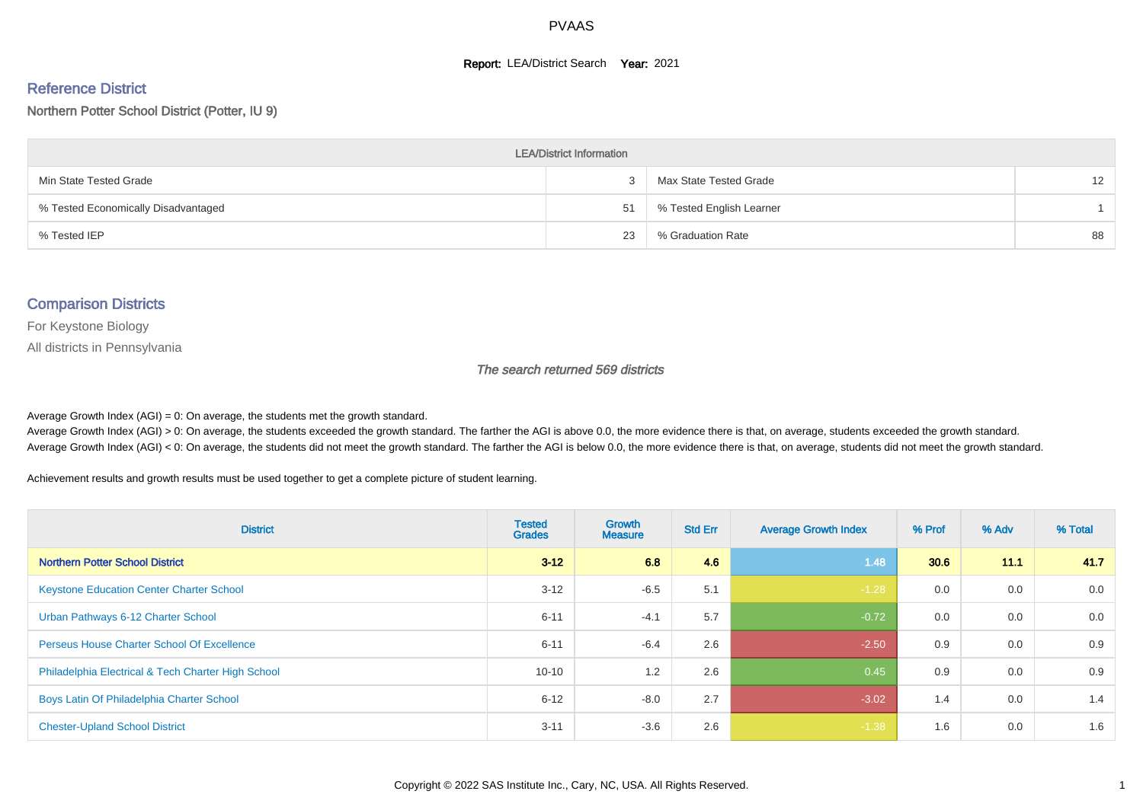#### **Report: LEA/District Search Year: 2021**

#### Reference District

Northern Potter School District (Potter, IU 9)

| <b>LEA/District Information</b>     |    |                          |                   |  |  |  |  |  |  |  |
|-------------------------------------|----|--------------------------|-------------------|--|--|--|--|--|--|--|
| Min State Tested Grade              |    | Max State Tested Grade   | $12 \overline{ }$ |  |  |  |  |  |  |  |
| % Tested Economically Disadvantaged | 51 | % Tested English Learner |                   |  |  |  |  |  |  |  |
| % Tested IEP                        | 23 | % Graduation Rate        | 88                |  |  |  |  |  |  |  |

#### Comparison Districts

For Keystone Biology

All districts in Pennsylvania

The search returned 569 districts

Average Growth Index  $(AGI) = 0$ : On average, the students met the growth standard.

Average Growth Index (AGI) > 0: On average, the students exceeded the growth standard. The farther the AGI is above 0.0, the more evidence there is that, on average, students exceeded the growth standard. Average Growth Index (AGI) < 0: On average, the students did not meet the growth standard. The farther the AGI is below 0.0, the more evidence there is that, on average, students did not meet the growth standard.

Achievement results and growth results must be used together to get a complete picture of student learning.

| <b>District</b>                                    | <b>Tested</b><br><b>Grades</b> | <b>Growth</b><br><b>Measure</b> | <b>Std Err</b> | <b>Average Growth Index</b> | % Prof | % Adv | % Total |
|----------------------------------------------------|--------------------------------|---------------------------------|----------------|-----------------------------|--------|-------|---------|
| <b>Northern Potter School District</b>             | $3 - 12$                       | 6.8                             | 4.6            | 1.48                        | 30.6   | 11.1  | 41.7    |
| <b>Keystone Education Center Charter School</b>    | $3 - 12$                       | $-6.5$                          | 5.1            | $-1.28$                     | 0.0    | 0.0   | 0.0     |
| Urban Pathways 6-12 Charter School                 | $6 - 11$                       | $-4.1$                          | 5.7            | $-0.72$                     | 0.0    | 0.0   | 0.0     |
| <b>Perseus House Charter School Of Excellence</b>  | $6 - 11$                       | $-6.4$                          | 2.6            | $-2.50$                     | 0.9    | 0.0   | 0.9     |
| Philadelphia Electrical & Tech Charter High School | $10 - 10$                      | 1.2                             | 2.6            | 0.45                        | 0.9    | 0.0   | 0.9     |
| Boys Latin Of Philadelphia Charter School          | $6 - 12$                       | $-8.0$                          | 2.7            | $-3.02$                     | 1.4    | 0.0   | 1.4     |
| <b>Chester-Upland School District</b>              | $3 - 11$                       | $-3.6$                          | 2.6            | $-1.38$                     | 1.6    | 0.0   | 1.6     |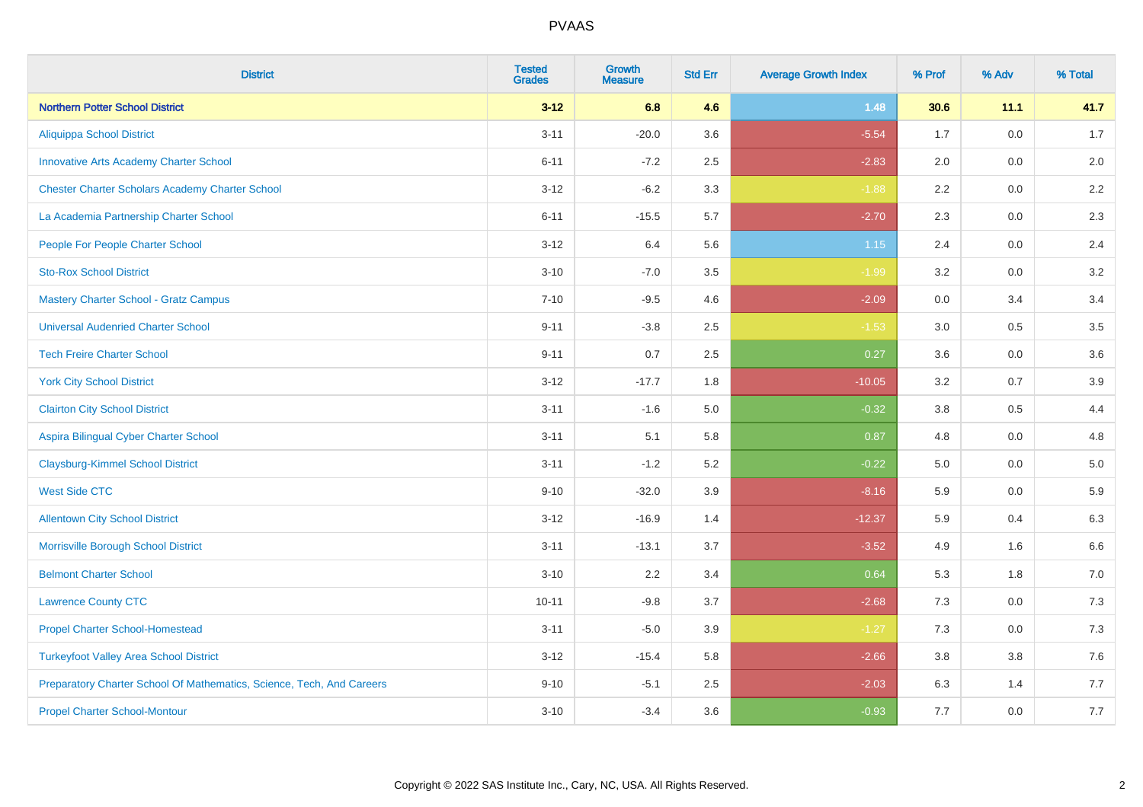| <b>District</b>                                                       | <b>Tested</b><br><b>Grades</b> | <b>Growth</b><br><b>Measure</b> | <b>Std Err</b> | <b>Average Growth Index</b> | % Prof | % Adv   | % Total |
|-----------------------------------------------------------------------|--------------------------------|---------------------------------|----------------|-----------------------------|--------|---------|---------|
| <b>Northern Potter School District</b>                                | $3 - 12$                       | 6.8                             | 4.6            | 1.48                        | 30.6   | 11.1    | 41.7    |
| <b>Aliquippa School District</b>                                      | $3 - 11$                       | $-20.0$                         | 3.6            | $-5.54$                     | 1.7    | 0.0     | 1.7     |
| <b>Innovative Arts Academy Charter School</b>                         | $6 - 11$                       | $-7.2$                          | 2.5            | $-2.83$                     | 2.0    | 0.0     | 2.0     |
| <b>Chester Charter Scholars Academy Charter School</b>                | $3 - 12$                       | $-6.2$                          | 3.3            | $-1.88$                     | 2.2    | 0.0     | 2.2     |
| La Academia Partnership Charter School                                | $6 - 11$                       | $-15.5$                         | 5.7            | $-2.70$                     | 2.3    | 0.0     | 2.3     |
| People For People Charter School                                      | $3 - 12$                       | 6.4                             | 5.6            | 1.15                        | 2.4    | 0.0     | 2.4     |
| <b>Sto-Rox School District</b>                                        | $3 - 10$                       | $-7.0$                          | 3.5            | $-1.99$                     | 3.2    | 0.0     | 3.2     |
| <b>Mastery Charter School - Gratz Campus</b>                          | $7 - 10$                       | $-9.5$                          | 4.6            | $-2.09$                     | 0.0    | 3.4     | 3.4     |
| <b>Universal Audenried Charter School</b>                             | $9 - 11$                       | $-3.8$                          | 2.5            | $-1.53$                     | 3.0    | 0.5     | 3.5     |
| <b>Tech Freire Charter School</b>                                     | $9 - 11$                       | 0.7                             | 2.5            | 0.27                        | 3.6    | 0.0     | 3.6     |
| <b>York City School District</b>                                      | $3 - 12$                       | $-17.7$                         | 1.8            | $-10.05$                    | 3.2    | 0.7     | 3.9     |
| <b>Clairton City School District</b>                                  | $3 - 11$                       | $-1.6$                          | 5.0            | $-0.32$                     | 3.8    | 0.5     | 4.4     |
| Aspira Bilingual Cyber Charter School                                 | $3 - 11$                       | 5.1                             | 5.8            | 0.87                        | 4.8    | 0.0     | 4.8     |
| <b>Claysburg-Kimmel School District</b>                               | $3 - 11$                       | $-1.2$                          | 5.2            | $-0.22$                     | 5.0    | 0.0     | 5.0     |
| <b>West Side CTC</b>                                                  | $9 - 10$                       | $-32.0$                         | 3.9            | $-8.16$                     | 5.9    | 0.0     | 5.9     |
| <b>Allentown City School District</b>                                 | $3 - 12$                       | $-16.9$                         | 1.4            | $-12.37$                    | 5.9    | 0.4     | 6.3     |
| Morrisville Borough School District                                   | $3 - 11$                       | $-13.1$                         | 3.7            | $-3.52$                     | 4.9    | 1.6     | 6.6     |
| <b>Belmont Charter School</b>                                         | $3 - 10$                       | 2.2                             | 3.4            | 0.64                        | 5.3    | 1.8     | $7.0\,$ |
| <b>Lawrence County CTC</b>                                            | $10 - 11$                      | $-9.8$                          | 3.7            | $-2.68$                     | 7.3    | 0.0     | 7.3     |
| <b>Propel Charter School-Homestead</b>                                | $3 - 11$                       | $-5.0$                          | 3.9            | $-1.27$                     | 7.3    | 0.0     | $7.3$   |
| <b>Turkeyfoot Valley Area School District</b>                         | $3 - 12$                       | $-15.4$                         | 5.8            | $-2.66$                     | 3.8    | $3.8\,$ | 7.6     |
| Preparatory Charter School Of Mathematics, Science, Tech, And Careers | $9 - 10$                       | $-5.1$                          | 2.5            | $-2.03$                     | 6.3    | 1.4     | 7.7     |
| <b>Propel Charter School-Montour</b>                                  | $3 - 10$                       | $-3.4$                          | 3.6            | $-0.93$                     | 7.7    | 0.0     | 7.7     |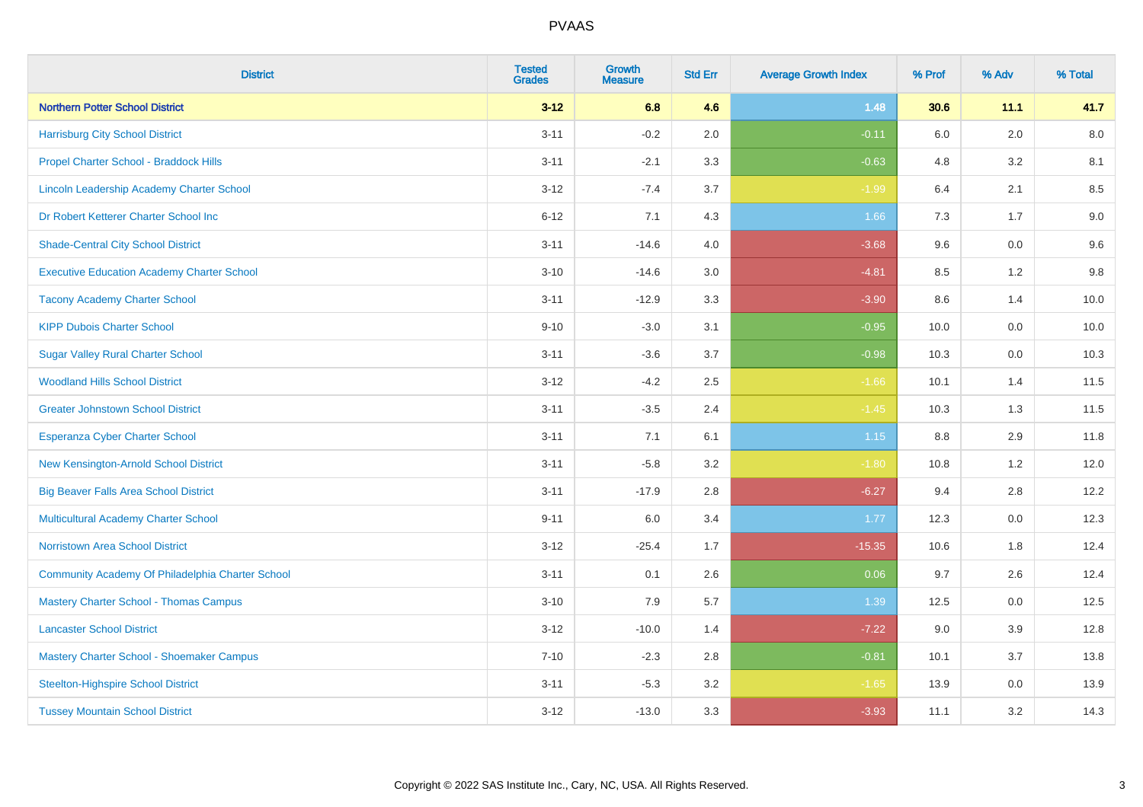| <b>District</b>                                   | <b>Tested</b><br><b>Grades</b> | <b>Growth</b><br><b>Measure</b> | <b>Std Err</b> | <b>Average Growth Index</b> | % Prof  | % Adv   | % Total |
|---------------------------------------------------|--------------------------------|---------------------------------|----------------|-----------------------------|---------|---------|---------|
| <b>Northern Potter School District</b>            | $3 - 12$                       | 6.8                             | 4.6            | 1.48                        | 30.6    | 11.1    | 41.7    |
| <b>Harrisburg City School District</b>            | $3 - 11$                       | $-0.2$                          | 2.0            | $-0.11$                     | 6.0     | 2.0     | 8.0     |
| Propel Charter School - Braddock Hills            | $3 - 11$                       | $-2.1$                          | 3.3            | $-0.63$                     | 4.8     | 3.2     | 8.1     |
| Lincoln Leadership Academy Charter School         | $3 - 12$                       | $-7.4$                          | 3.7            | $-1.99$                     | 6.4     | 2.1     | 8.5     |
| Dr Robert Ketterer Charter School Inc             | $6 - 12$                       | 7.1                             | 4.3            | 1.66                        | 7.3     | 1.7     | 9.0     |
| <b>Shade-Central City School District</b>         | $3 - 11$                       | $-14.6$                         | 4.0            | $-3.68$                     | 9.6     | 0.0     | 9.6     |
| <b>Executive Education Academy Charter School</b> | $3 - 10$                       | $-14.6$                         | 3.0            | $-4.81$                     | 8.5     | 1.2     | 9.8     |
| <b>Tacony Academy Charter School</b>              | $3 - 11$                       | $-12.9$                         | 3.3            | $-3.90$                     | 8.6     | 1.4     | 10.0    |
| <b>KIPP Dubois Charter School</b>                 | $9 - 10$                       | $-3.0$                          | 3.1            | $-0.95$                     | 10.0    | 0.0     | 10.0    |
| <b>Sugar Valley Rural Charter School</b>          | $3 - 11$                       | $-3.6$                          | 3.7            | $-0.98$                     | 10.3    | 0.0     | 10.3    |
| <b>Woodland Hills School District</b>             | $3 - 12$                       | $-4.2$                          | 2.5            | $-1.66$                     | 10.1    | 1.4     | 11.5    |
| <b>Greater Johnstown School District</b>          | $3 - 11$                       | $-3.5$                          | 2.4            | $-1.45$                     | 10.3    | 1.3     | 11.5    |
| Esperanza Cyber Charter School                    | $3 - 11$                       | 7.1                             | 6.1            | $1.15$                      | $8.8\,$ | $2.9\,$ | 11.8    |
| New Kensington-Arnold School District             | $3 - 11$                       | $-5.8$                          | 3.2            | $-1.80$                     | 10.8    | 1.2     | 12.0    |
| <b>Big Beaver Falls Area School District</b>      | $3 - 11$                       | $-17.9$                         | 2.8            | $-6.27$                     | 9.4     | 2.8     | 12.2    |
| <b>Multicultural Academy Charter School</b>       | $9 - 11$                       | 6.0                             | 3.4            | 1.77                        | 12.3    | $0.0\,$ | 12.3    |
| <b>Norristown Area School District</b>            | $3 - 12$                       | $-25.4$                         | 1.7            | $-15.35$                    | 10.6    | 1.8     | 12.4    |
| Community Academy Of Philadelphia Charter School  | $3 - 11$                       | 0.1                             | 2.6            | 0.06                        | 9.7     | 2.6     | 12.4    |
| <b>Mastery Charter School - Thomas Campus</b>     | $3 - 10$                       | 7.9                             | 5.7            | 1.39                        | 12.5    | 0.0     | 12.5    |
| <b>Lancaster School District</b>                  | $3 - 12$                       | $-10.0$                         | 1.4            | $-7.22$                     | 9.0     | 3.9     | 12.8    |
| Mastery Charter School - Shoemaker Campus         | $7 - 10$                       | $-2.3$                          | 2.8            | $-0.81$                     | 10.1    | 3.7     | 13.8    |
| <b>Steelton-Highspire School District</b>         | $3 - 11$                       | $-5.3$                          | 3.2            | $-1.65$                     | 13.9    | 0.0     | 13.9    |
| <b>Tussey Mountain School District</b>            | $3 - 12$                       | $-13.0$                         | 3.3            | $-3.93$                     | 11.1    | 3.2     | 14.3    |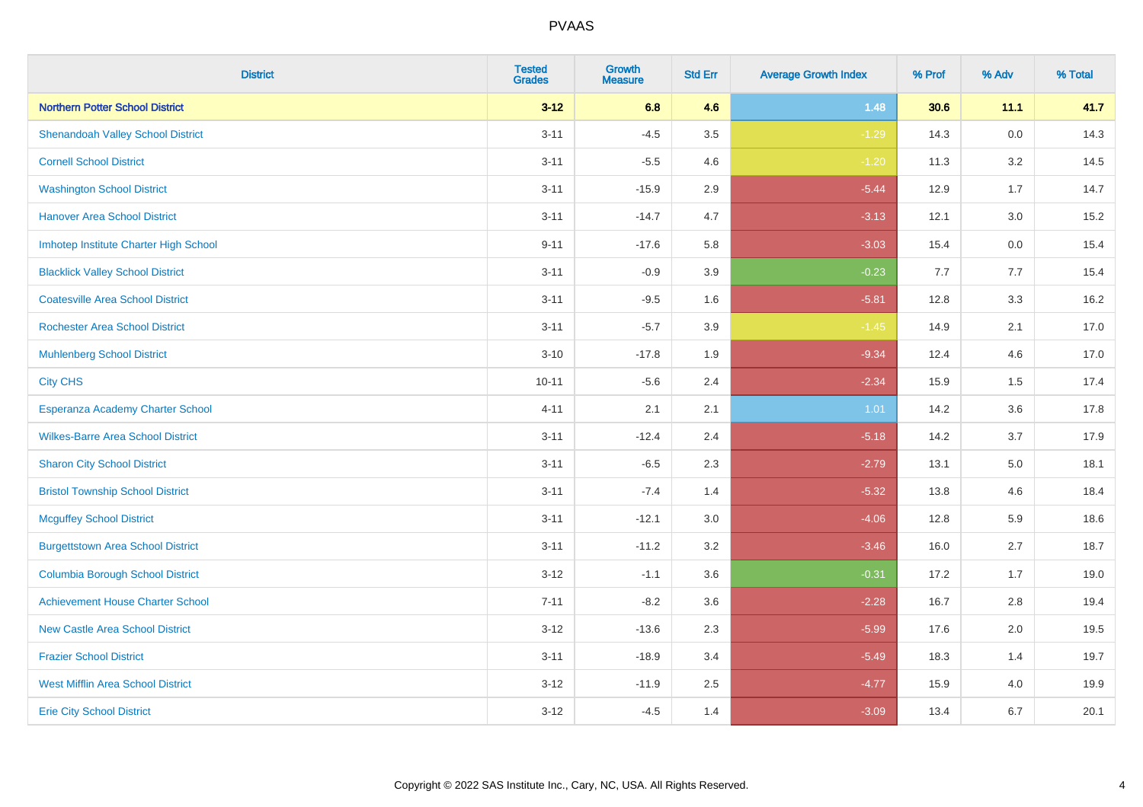| <b>District</b>                          | <b>Tested</b><br><b>Grades</b> | <b>Growth</b><br><b>Measure</b> | <b>Std Err</b> | <b>Average Growth Index</b> | % Prof | % Adv   | % Total |
|------------------------------------------|--------------------------------|---------------------------------|----------------|-----------------------------|--------|---------|---------|
| <b>Northern Potter School District</b>   | $3 - 12$                       | 6.8                             | 4.6            | 1.48                        | 30.6   | 11.1    | 41.7    |
| <b>Shenandoah Valley School District</b> | $3 - 11$                       | $-4.5$                          | 3.5            | $-1.29$                     | 14.3   | $0.0\,$ | 14.3    |
| <b>Cornell School District</b>           | $3 - 11$                       | $-5.5$                          | 4.6            | $-1.20$                     | 11.3   | 3.2     | 14.5    |
| <b>Washington School District</b>        | $3 - 11$                       | $-15.9$                         | 2.9            | $-5.44$                     | 12.9   | 1.7     | 14.7    |
| <b>Hanover Area School District</b>      | $3 - 11$                       | $-14.7$                         | 4.7            | $-3.13$                     | 12.1   | 3.0     | 15.2    |
| Imhotep Institute Charter High School    | $9 - 11$                       | $-17.6$                         | 5.8            | $-3.03$                     | 15.4   | 0.0     | 15.4    |
| <b>Blacklick Valley School District</b>  | $3 - 11$                       | $-0.9$                          | 3.9            | $-0.23$                     | 7.7    | 7.7     | 15.4    |
| <b>Coatesville Area School District</b>  | $3 - 11$                       | $-9.5$                          | 1.6            | $-5.81$                     | 12.8   | 3.3     | 16.2    |
| <b>Rochester Area School District</b>    | $3 - 11$                       | $-5.7$                          | 3.9            | $-1.45$                     | 14.9   | 2.1     | 17.0    |
| <b>Muhlenberg School District</b>        | $3 - 10$                       | $-17.8$                         | 1.9            | $-9.34$                     | 12.4   | 4.6     | 17.0    |
| <b>City CHS</b>                          | $10 - 11$                      | $-5.6$                          | 2.4            | $-2.34$                     | 15.9   | 1.5     | 17.4    |
| Esperanza Academy Charter School         | $4 - 11$                       | 2.1                             | 2.1            | 1.01                        | 14.2   | 3.6     | 17.8    |
| <b>Wilkes-Barre Area School District</b> | $3 - 11$                       | $-12.4$                         | 2.4            | $-5.18$                     | 14.2   | 3.7     | 17.9    |
| <b>Sharon City School District</b>       | $3 - 11$                       | $-6.5$                          | 2.3            | $-2.79$                     | 13.1   | 5.0     | 18.1    |
| <b>Bristol Township School District</b>  | $3 - 11$                       | $-7.4$                          | 1.4            | $-5.32$                     | 13.8   | 4.6     | 18.4    |
| <b>Mcguffey School District</b>          | $3 - 11$                       | $-12.1$                         | 3.0            | $-4.06$                     | 12.8   | 5.9     | 18.6    |
| <b>Burgettstown Area School District</b> | $3 - 11$                       | $-11.2$                         | 3.2            | $-3.46$                     | 16.0   | 2.7     | 18.7    |
| <b>Columbia Borough School District</b>  | $3 - 12$                       | $-1.1$                          | 3.6            | $-0.31$                     | 17.2   | 1.7     | 19.0    |
| <b>Achievement House Charter School</b>  | $7 - 11$                       | $-8.2$                          | 3.6            | $-2.28$                     | 16.7   | 2.8     | 19.4    |
| <b>New Castle Area School District</b>   | $3 - 12$                       | $-13.6$                         | 2.3            | $-5.99$                     | 17.6   | 2.0     | 19.5    |
| <b>Frazier School District</b>           | $3 - 11$                       | $-18.9$                         | 3.4            | $-5.49$                     | 18.3   | 1.4     | 19.7    |
| <b>West Mifflin Area School District</b> | $3 - 12$                       | $-11.9$                         | 2.5            | $-4.77$                     | 15.9   | 4.0     | 19.9    |
| <b>Erie City School District</b>         | $3 - 12$                       | $-4.5$                          | 1.4            | $-3.09$                     | 13.4   | 6.7     | 20.1    |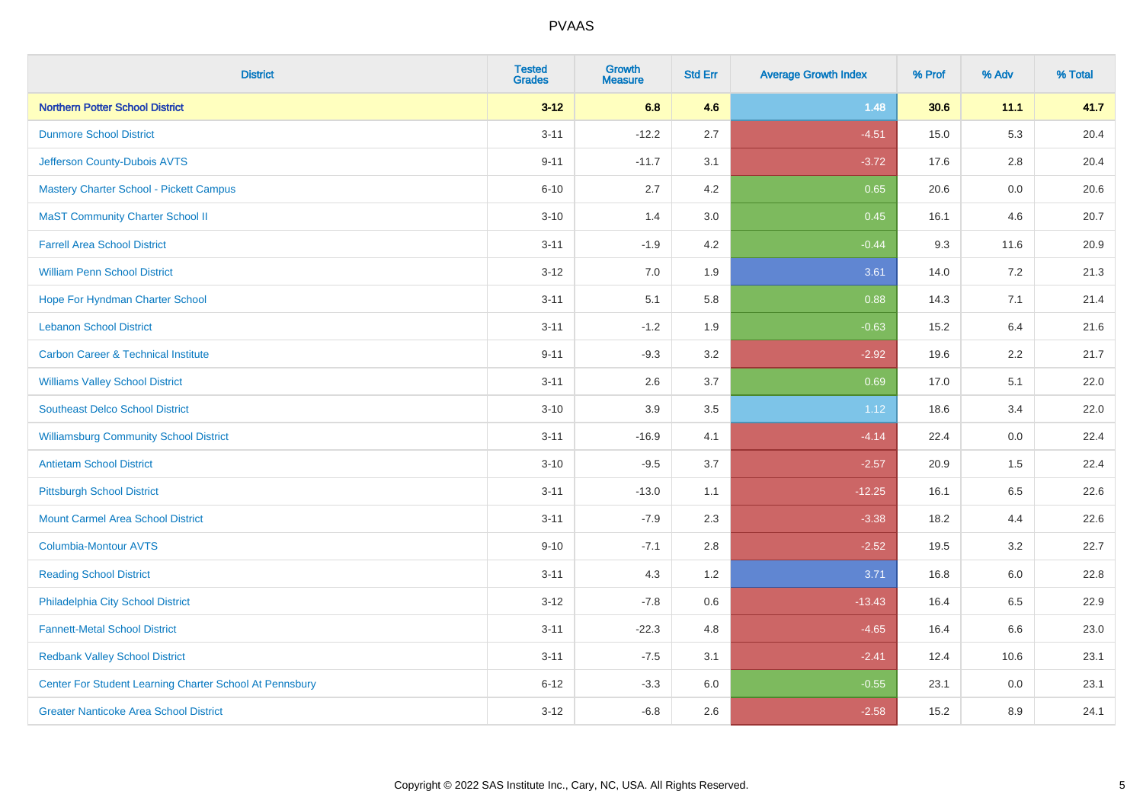| <b>District</b>                                         | <b>Tested</b><br><b>Grades</b> | <b>Growth</b><br><b>Measure</b> | <b>Std Err</b> | <b>Average Growth Index</b> | % Prof | % Adv   | % Total |
|---------------------------------------------------------|--------------------------------|---------------------------------|----------------|-----------------------------|--------|---------|---------|
| <b>Northern Potter School District</b>                  | $3 - 12$                       | 6.8                             | 4.6            | 1.48                        | 30.6   | 11.1    | 41.7    |
| <b>Dunmore School District</b>                          | $3 - 11$                       | $-12.2$                         | 2.7            | $-4.51$                     | 15.0   | 5.3     | 20.4    |
| Jefferson County-Dubois AVTS                            | $9 - 11$                       | $-11.7$                         | 3.1            | $-3.72$                     | 17.6   | 2.8     | 20.4    |
| <b>Mastery Charter School - Pickett Campus</b>          | $6 - 10$                       | 2.7                             | 4.2            | 0.65                        | 20.6   | $0.0\,$ | 20.6    |
| <b>MaST Community Charter School II</b>                 | $3 - 10$                       | 1.4                             | 3.0            | 0.45                        | 16.1   | 4.6     | 20.7    |
| <b>Farrell Area School District</b>                     | $3 - 11$                       | $-1.9$                          | 4.2            | $-0.44$                     | 9.3    | 11.6    | 20.9    |
| <b>William Penn School District</b>                     | $3 - 12$                       | 7.0                             | 1.9            | 3.61                        | 14.0   | 7.2     | 21.3    |
| Hope For Hyndman Charter School                         | $3 - 11$                       | 5.1                             | 5.8            | 0.88                        | 14.3   | 7.1     | 21.4    |
| <b>Lebanon School District</b>                          | $3 - 11$                       | $-1.2$                          | 1.9            | $-0.63$                     | 15.2   | 6.4     | 21.6    |
| <b>Carbon Career &amp; Technical Institute</b>          | $9 - 11$                       | $-9.3$                          | 3.2            | $-2.92$                     | 19.6   | 2.2     | 21.7    |
| <b>Williams Valley School District</b>                  | $3 - 11$                       | 2.6                             | 3.7            | 0.69                        | 17.0   | 5.1     | 22.0    |
| <b>Southeast Delco School District</b>                  | $3 - 10$                       | 3.9                             | 3.5            | 1.12                        | 18.6   | 3.4     | 22.0    |
| <b>Williamsburg Community School District</b>           | $3 - 11$                       | $-16.9$                         | 4.1            | $-4.14$                     | 22.4   | $0.0\,$ | 22.4    |
| <b>Antietam School District</b>                         | $3 - 10$                       | $-9.5$                          | 3.7            | $-2.57$                     | 20.9   | 1.5     | 22.4    |
| <b>Pittsburgh School District</b>                       | $3 - 11$                       | $-13.0$                         | 1.1            | $-12.25$                    | 16.1   | 6.5     | 22.6    |
| <b>Mount Carmel Area School District</b>                | $3 - 11$                       | $-7.9$                          | 2.3            | $-3.38$                     | 18.2   | 4.4     | 22.6    |
| <b>Columbia-Montour AVTS</b>                            | $9 - 10$                       | $-7.1$                          | 2.8            | $-2.52$                     | 19.5   | 3.2     | 22.7    |
| <b>Reading School District</b>                          | $3 - 11$                       | 4.3                             | 1.2            | 3.71                        | 16.8   | 6.0     | 22.8    |
| Philadelphia City School District                       | $3-12$                         | $-7.8$                          | 0.6            | $-13.43$                    | 16.4   | 6.5     | 22.9    |
| <b>Fannett-Metal School District</b>                    | $3 - 11$                       | $-22.3$                         | 4.8            | $-4.65$                     | 16.4   | 6.6     | 23.0    |
| <b>Redbank Valley School District</b>                   | $3 - 11$                       | $-7.5$                          | 3.1            | $-2.41$                     | 12.4   | 10.6    | 23.1    |
| Center For Student Learning Charter School At Pennsbury | $6 - 12$                       | $-3.3$                          | 6.0            | $-0.55$                     | 23.1   | 0.0     | 23.1    |
| <b>Greater Nanticoke Area School District</b>           | $3 - 12$                       | $-6.8$                          | 2.6            | $-2.58$                     | 15.2   | 8.9     | 24.1    |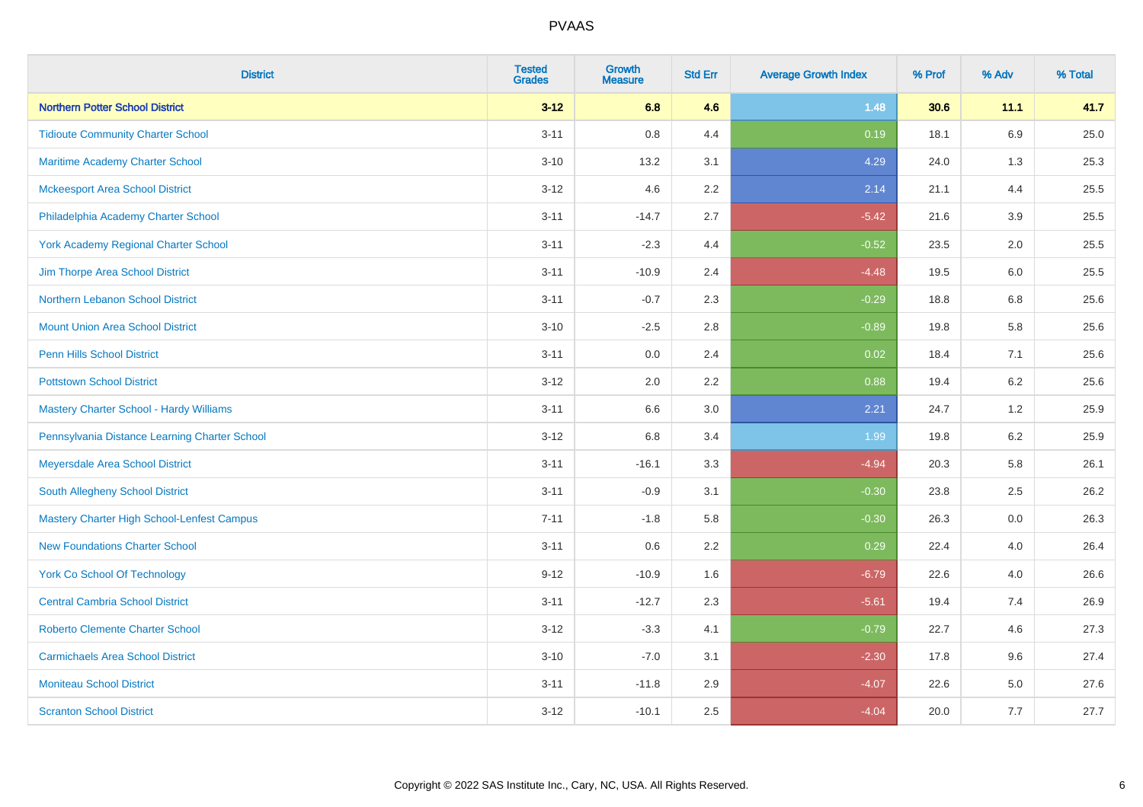| <b>District</b>                                   | <b>Tested</b><br><b>Grades</b> | <b>Growth</b><br><b>Measure</b> | <b>Std Err</b> | <b>Average Growth Index</b> | % Prof | % Adv   | % Total |
|---------------------------------------------------|--------------------------------|---------------------------------|----------------|-----------------------------|--------|---------|---------|
| <b>Northern Potter School District</b>            | $3 - 12$                       | 6.8                             | 4.6            | 1.48                        | 30.6   | 11.1    | 41.7    |
| <b>Tidioute Community Charter School</b>          | $3 - 11$                       | $0.8\,$                         | 4.4            | 0.19                        | 18.1   | 6.9     | 25.0    |
| Maritime Academy Charter School                   | $3 - 10$                       | 13.2                            | 3.1            | 4.29                        | 24.0   | 1.3     | 25.3    |
| <b>Mckeesport Area School District</b>            | $3 - 12$                       | 4.6                             | 2.2            | 2.14                        | 21.1   | 4.4     | 25.5    |
| Philadelphia Academy Charter School               | $3 - 11$                       | $-14.7$                         | 2.7            | $-5.42$                     | 21.6   | 3.9     | 25.5    |
| <b>York Academy Regional Charter School</b>       | $3 - 11$                       | $-2.3$                          | 4.4            | $-0.52$                     | 23.5   | 2.0     | 25.5    |
| Jim Thorpe Area School District                   | $3 - 11$                       | $-10.9$                         | 2.4            | $-4.48$                     | 19.5   | 6.0     | 25.5    |
| Northern Lebanon School District                  | $3 - 11$                       | $-0.7$                          | 2.3            | $-0.29$                     | 18.8   | 6.8     | 25.6    |
| <b>Mount Union Area School District</b>           | $3 - 10$                       | $-2.5$                          | 2.8            | $-0.89$                     | 19.8   | 5.8     | 25.6    |
| Penn Hills School District                        | $3 - 11$                       | 0.0                             | 2.4            | 0.02                        | 18.4   | 7.1     | 25.6    |
| <b>Pottstown School District</b>                  | $3 - 12$                       | 2.0                             | 2.2            | 0.88                        | 19.4   | 6.2     | 25.6    |
| <b>Mastery Charter School - Hardy Williams</b>    | $3 - 11$                       | 6.6                             | 3.0            | 2.21                        | 24.7   | 1.2     | 25.9    |
| Pennsylvania Distance Learning Charter School     | $3 - 12$                       | $6.8\,$                         | 3.4            | 1.99                        | 19.8   | $6.2\,$ | 25.9    |
| Meyersdale Area School District                   | $3 - 11$                       | $-16.1$                         | 3.3            | $-4.94$                     | 20.3   | 5.8     | 26.1    |
| South Allegheny School District                   | $3 - 11$                       | $-0.9$                          | 3.1            | $-0.30$                     | 23.8   | 2.5     | 26.2    |
| <b>Mastery Charter High School-Lenfest Campus</b> | $7 - 11$                       | $-1.8$                          | 5.8            | $-0.30$                     | 26.3   | 0.0     | 26.3    |
| <b>New Foundations Charter School</b>             | $3 - 11$                       | 0.6                             | 2.2            | 0.29                        | 22.4   | 4.0     | 26.4    |
| York Co School Of Technology                      | $9 - 12$                       | $-10.9$                         | 1.6            | $-6.79$                     | 22.6   | 4.0     | 26.6    |
| <b>Central Cambria School District</b>            | $3 - 11$                       | $-12.7$                         | 2.3            | $-5.61$                     | 19.4   | 7.4     | 26.9    |
| <b>Roberto Clemente Charter School</b>            | $3 - 12$                       | $-3.3$                          | 4.1            | $-0.79$                     | 22.7   | 4.6     | 27.3    |
| <b>Carmichaels Area School District</b>           | $3 - 10$                       | $-7.0$                          | 3.1            | $-2.30$                     | 17.8   | 9.6     | 27.4    |
| <b>Moniteau School District</b>                   | $3 - 11$                       | $-11.8$                         | 2.9            | $-4.07$                     | 22.6   | 5.0     | 27.6    |
| <b>Scranton School District</b>                   | $3 - 12$                       | $-10.1$                         | 2.5            | $-4.04$                     | 20.0   | 7.7     | 27.7    |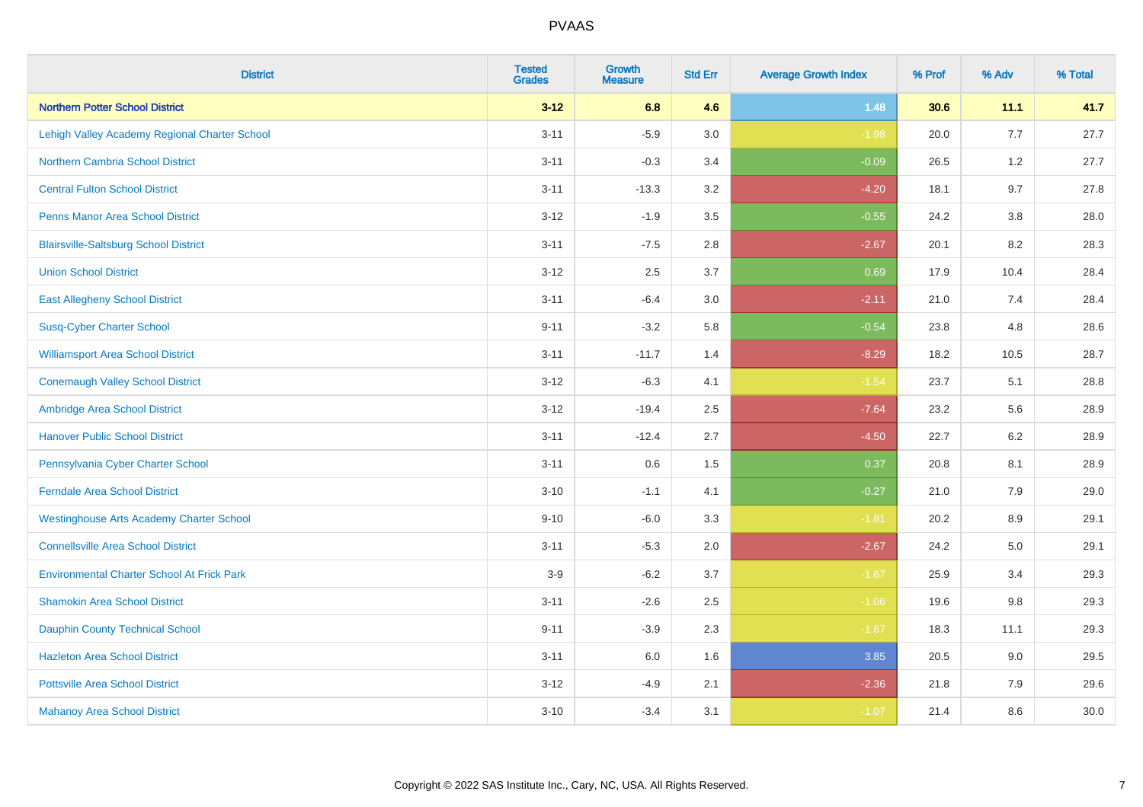| <b>District</b>                                   | <b>Tested</b><br><b>Grades</b> | <b>Growth</b><br><b>Measure</b> | <b>Std Err</b> | <b>Average Growth Index</b> | % Prof | % Adv   | % Total |
|---------------------------------------------------|--------------------------------|---------------------------------|----------------|-----------------------------|--------|---------|---------|
| <b>Northern Potter School District</b>            | $3 - 12$                       | 6.8                             | 4.6            | 1.48                        | 30.6   | 11.1    | 41.7    |
| Lehigh Valley Academy Regional Charter School     | $3 - 11$                       | $-5.9$                          | 3.0            | $-1.98$                     | 20.0   | 7.7     | 27.7    |
| <b>Northern Cambria School District</b>           | $3 - 11$                       | $-0.3$                          | 3.4            | $-0.09$                     | 26.5   | 1.2     | 27.7    |
| <b>Central Fulton School District</b>             | $3 - 11$                       | $-13.3$                         | 3.2            | $-4.20$                     | 18.1   | 9.7     | 27.8    |
| <b>Penns Manor Area School District</b>           | $3 - 12$                       | $-1.9$                          | 3.5            | $-0.55$                     | 24.2   | 3.8     | 28.0    |
| <b>Blairsville-Saltsburg School District</b>      | $3 - 11$                       | $-7.5$                          | 2.8            | $-2.67$                     | 20.1   | 8.2     | 28.3    |
| <b>Union School District</b>                      | $3 - 12$                       | 2.5                             | 3.7            | 0.69                        | 17.9   | 10.4    | 28.4    |
| <b>East Allegheny School District</b>             | $3 - 11$                       | $-6.4$                          | 3.0            | $-2.11$                     | 21.0   | 7.4     | 28.4    |
| <b>Susq-Cyber Charter School</b>                  | $9 - 11$                       | $-3.2$                          | 5.8            | $-0.54$                     | 23.8   | 4.8     | 28.6    |
| <b>Williamsport Area School District</b>          | $3 - 11$                       | $-11.7$                         | 1.4            | $-8.29$                     | 18.2   | 10.5    | 28.7    |
| <b>Conemaugh Valley School District</b>           | $3 - 12$                       | $-6.3$                          | 4.1            | $-1.54$                     | 23.7   | 5.1     | 28.8    |
| Ambridge Area School District                     | $3 - 12$                       | $-19.4$                         | 2.5            | $-7.64$                     | 23.2   | 5.6     | 28.9    |
| <b>Hanover Public School District</b>             | $3 - 11$                       | $-12.4$                         | 2.7            | $-4.50$                     | 22.7   | 6.2     | 28.9    |
| Pennsylvania Cyber Charter School                 | $3 - 11$                       | 0.6                             | 1.5            | 0.37                        | 20.8   | 8.1     | 28.9    |
| <b>Ferndale Area School District</b>              | $3 - 10$                       | $-1.1$                          | 4.1            | $-0.27$                     | 21.0   | 7.9     | 29.0    |
| <b>Westinghouse Arts Academy Charter School</b>   | $9 - 10$                       | $-6.0$                          | 3.3            | $-1.81$                     | 20.2   | $8.9\,$ | 29.1    |
| <b>Connellsville Area School District</b>         | $3 - 11$                       | $-5.3$                          | 2.0            | $-2.67$                     | 24.2   | 5.0     | 29.1    |
| <b>Environmental Charter School At Frick Park</b> | $3-9$                          | $-6.2$                          | 3.7            | $-1.67$                     | 25.9   | 3.4     | 29.3    |
| <b>Shamokin Area School District</b>              | $3 - 11$                       | $-2.6$                          | 2.5            | $-1.06$                     | 19.6   | 9.8     | 29.3    |
| <b>Dauphin County Technical School</b>            | $9 - 11$                       | $-3.9$                          | 2.3            | $-1.67$                     | 18.3   | 11.1    | 29.3    |
| <b>Hazleton Area School District</b>              | $3 - 11$                       | 6.0                             | 1.6            | 3.85                        | 20.5   | 9.0     | 29.5    |
| <b>Pottsville Area School District</b>            | $3 - 12$                       | $-4.9$                          | 2.1            | $-2.36$                     | 21.8   | 7.9     | 29.6    |
| <b>Mahanoy Area School District</b>               | $3 - 10$                       | $-3.4$                          | 3.1            | $-1.07$                     | 21.4   | 8.6     | 30.0    |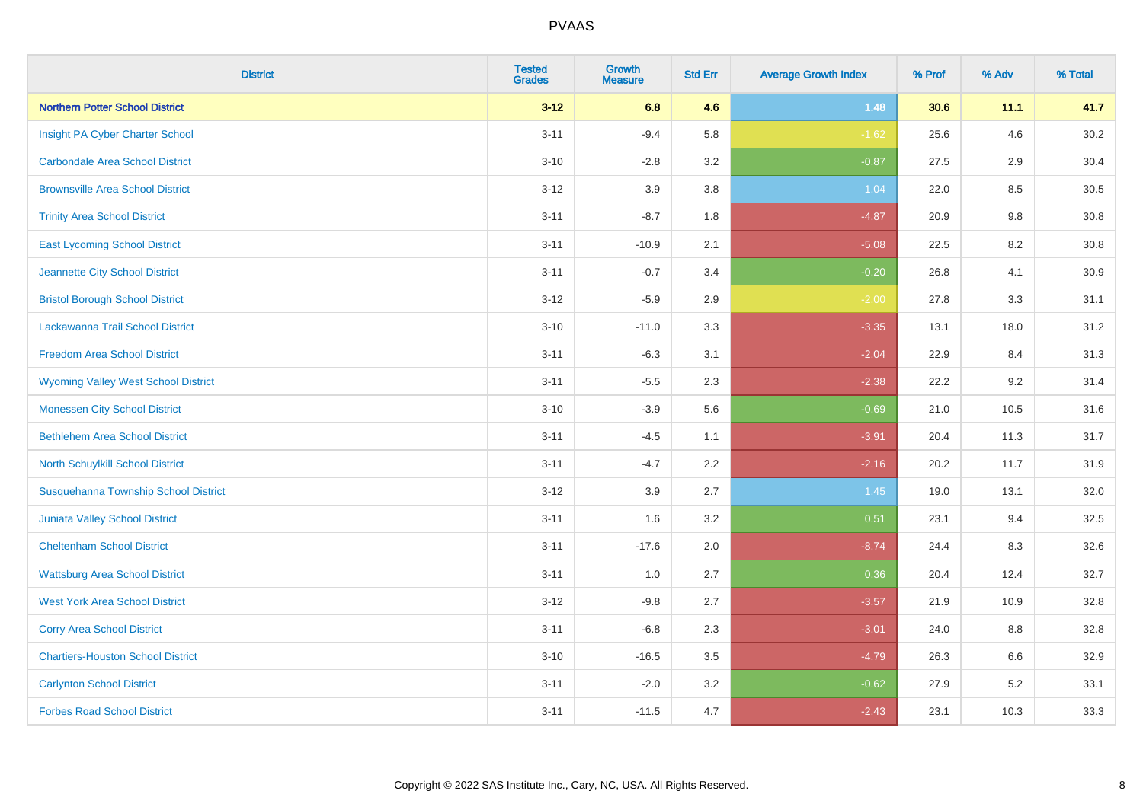| <b>District</b>                            | <b>Tested</b><br><b>Grades</b> | <b>Growth</b><br><b>Measure</b> | <b>Std Err</b> | <b>Average Growth Index</b> | % Prof | % Adv | % Total |
|--------------------------------------------|--------------------------------|---------------------------------|----------------|-----------------------------|--------|-------|---------|
| <b>Northern Potter School District</b>     | $3 - 12$                       | 6.8                             | 4.6            | 1.48                        | 30.6   | 11.1  | 41.7    |
| Insight PA Cyber Charter School            | $3 - 11$                       | $-9.4$                          | 5.8            | $-1.62$                     | 25.6   | 4.6   | 30.2    |
| <b>Carbondale Area School District</b>     | $3 - 10$                       | $-2.8$                          | 3.2            | $-0.87$                     | 27.5   | 2.9   | 30.4    |
| <b>Brownsville Area School District</b>    | $3 - 12$                       | 3.9                             | 3.8            | 1.04                        | 22.0   | 8.5   | 30.5    |
| <b>Trinity Area School District</b>        | $3 - 11$                       | $-8.7$                          | 1.8            | $-4.87$                     | 20.9   | 9.8   | 30.8    |
| <b>East Lycoming School District</b>       | $3 - 11$                       | $-10.9$                         | 2.1            | $-5.08$                     | 22.5   | 8.2   | 30.8    |
| Jeannette City School District             | $3 - 11$                       | $-0.7$                          | 3.4            | $-0.20$                     | 26.8   | 4.1   | 30.9    |
| <b>Bristol Borough School District</b>     | $3 - 12$                       | $-5.9$                          | 2.9            | $-2.00$                     | 27.8   | 3.3   | 31.1    |
| Lackawanna Trail School District           | $3 - 10$                       | $-11.0$                         | 3.3            | $-3.35$                     | 13.1   | 18.0  | 31.2    |
| <b>Freedom Area School District</b>        | $3 - 11$                       | $-6.3$                          | 3.1            | $-2.04$                     | 22.9   | 8.4   | 31.3    |
| <b>Wyoming Valley West School District</b> | $3 - 11$                       | $-5.5$                          | 2.3            | $-2.38$                     | 22.2   | 9.2   | 31.4    |
| <b>Monessen City School District</b>       | $3 - 10$                       | $-3.9$                          | 5.6            | $-0.69$                     | 21.0   | 10.5  | 31.6    |
| <b>Bethlehem Area School District</b>      | $3 - 11$                       | $-4.5$                          | 1.1            | $-3.91$                     | 20.4   | 11.3  | 31.7    |
| North Schuylkill School District           | $3 - 11$                       | $-4.7$                          | 2.2            | $-2.16$                     | 20.2   | 11.7  | 31.9    |
| Susquehanna Township School District       | $3 - 12$                       | 3.9                             | 2.7            | 1.45                        | 19.0   | 13.1  | 32.0    |
| <b>Juniata Valley School District</b>      | $3 - 11$                       | 1.6                             | 3.2            | 0.51                        | 23.1   | 9.4   | 32.5    |
| <b>Cheltenham School District</b>          | $3 - 11$                       | $-17.6$                         | 2.0            | $-8.74$                     | 24.4   | 8.3   | 32.6    |
| <b>Wattsburg Area School District</b>      | $3 - 11$                       | 1.0                             | 2.7            | 0.36                        | 20.4   | 12.4  | 32.7    |
| <b>West York Area School District</b>      | $3 - 12$                       | $-9.8$                          | 2.7            | $-3.57$                     | 21.9   | 10.9  | 32.8    |
| <b>Corry Area School District</b>          | $3 - 11$                       | $-6.8$                          | 2.3            | $-3.01$                     | 24.0   | 8.8   | 32.8    |
| <b>Chartiers-Houston School District</b>   | $3 - 10$                       | $-16.5$                         | 3.5            | $-4.79$                     | 26.3   | 6.6   | 32.9    |
| <b>Carlynton School District</b>           | $3 - 11$                       | $-2.0$                          | 3.2            | $-0.62$                     | 27.9   | 5.2   | 33.1    |
| <b>Forbes Road School District</b>         | $3 - 11$                       | $-11.5$                         | 4.7            | $-2.43$                     | 23.1   | 10.3  | 33.3    |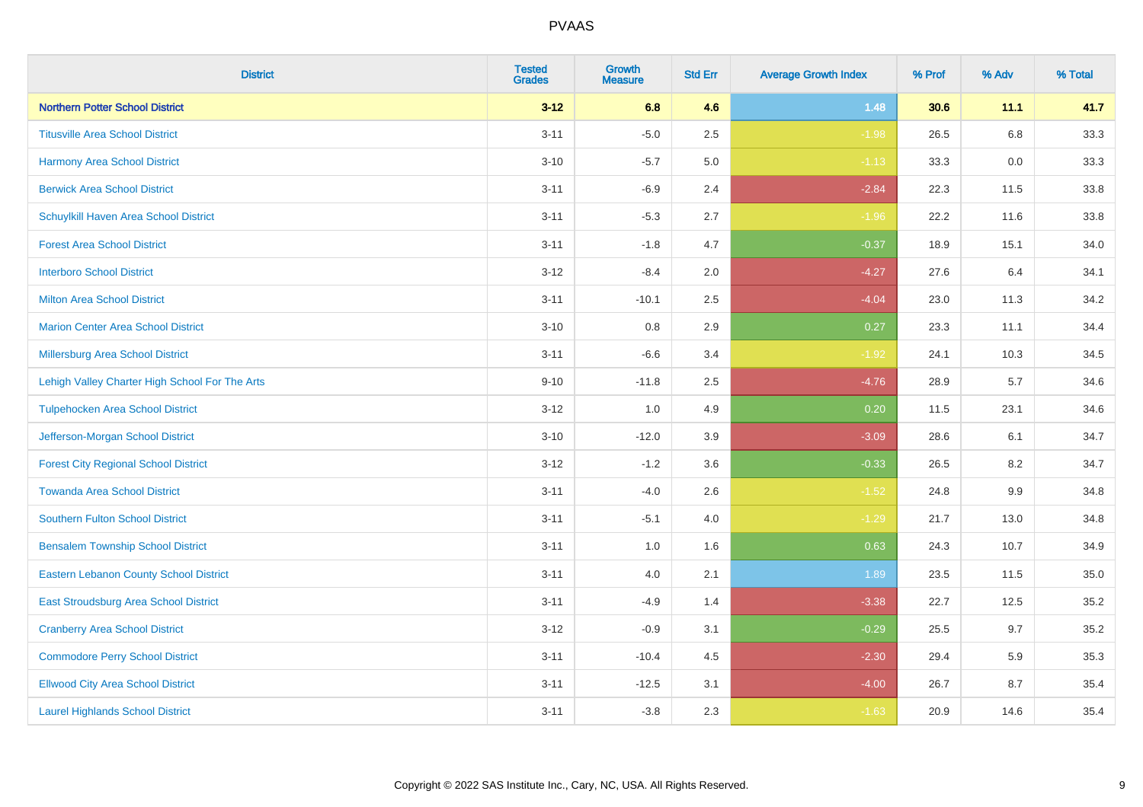| <b>District</b>                                | <b>Tested</b><br><b>Grades</b> | <b>Growth</b><br><b>Measure</b> | <b>Std Err</b> | <b>Average Growth Index</b> | % Prof | % Adv | % Total |
|------------------------------------------------|--------------------------------|---------------------------------|----------------|-----------------------------|--------|-------|---------|
| <b>Northern Potter School District</b>         | $3 - 12$                       | 6.8                             | 4.6            | 1.48                        | 30.6   | 11.1  | 41.7    |
| <b>Titusville Area School District</b>         | $3 - 11$                       | $-5.0$                          | 2.5            | $-1.98$                     | 26.5   | 6.8   | 33.3    |
| Harmony Area School District                   | $3 - 10$                       | $-5.7$                          | 5.0            | $-1.13$                     | 33.3   | 0.0   | 33.3    |
| <b>Berwick Area School District</b>            | $3 - 11$                       | $-6.9$                          | 2.4            | $-2.84$                     | 22.3   | 11.5  | 33.8    |
| Schuylkill Haven Area School District          | $3 - 11$                       | $-5.3$                          | 2.7            | $-1.96$                     | 22.2   | 11.6  | 33.8    |
| <b>Forest Area School District</b>             | $3 - 11$                       | $-1.8$                          | 4.7            | $-0.37$                     | 18.9   | 15.1  | 34.0    |
| <b>Interboro School District</b>               | $3 - 12$                       | $-8.4$                          | 2.0            | $-4.27$                     | 27.6   | 6.4   | 34.1    |
| <b>Milton Area School District</b>             | $3 - 11$                       | $-10.1$                         | 2.5            | $-4.04$                     | 23.0   | 11.3  | 34.2    |
| <b>Marion Center Area School District</b>      | $3 - 10$                       | 0.8                             | 2.9            | 0.27                        | 23.3   | 11.1  | 34.4    |
| <b>Millersburg Area School District</b>        | $3 - 11$                       | $-6.6$                          | 3.4            | $-1.92$                     | 24.1   | 10.3  | 34.5    |
| Lehigh Valley Charter High School For The Arts | $9 - 10$                       | $-11.8$                         | 2.5            | $-4.76$                     | 28.9   | 5.7   | 34.6    |
| <b>Tulpehocken Area School District</b>        | $3 - 12$                       | 1.0                             | 4.9            | 0.20                        | 11.5   | 23.1  | 34.6    |
| Jefferson-Morgan School District               | $3 - 10$                       | $-12.0$                         | 3.9            | $-3.09$                     | 28.6   | 6.1   | 34.7    |
| <b>Forest City Regional School District</b>    | $3 - 12$                       | $-1.2$                          | 3.6            | $-0.33$                     | 26.5   | 8.2   | 34.7    |
| <b>Towanda Area School District</b>            | $3 - 11$                       | $-4.0$                          | 2.6            | $-1.52$                     | 24.8   | 9.9   | 34.8    |
| <b>Southern Fulton School District</b>         | $3 - 11$                       | $-5.1$                          | 4.0            | $-1.29$                     | 21.7   | 13.0  | 34.8    |
| <b>Bensalem Township School District</b>       | $3 - 11$                       | 1.0                             | 1.6            | 0.63                        | 24.3   | 10.7  | 34.9    |
| <b>Eastern Lebanon County School District</b>  | $3 - 11$                       | 4.0                             | 2.1            | 1.89                        | 23.5   | 11.5  | 35.0    |
| East Stroudsburg Area School District          | $3 - 11$                       | $-4.9$                          | 1.4            | $-3.38$                     | 22.7   | 12.5  | 35.2    |
| <b>Cranberry Area School District</b>          | $3 - 12$                       | $-0.9$                          | 3.1            | $-0.29$                     | 25.5   | 9.7   | 35.2    |
| <b>Commodore Perry School District</b>         | $3 - 11$                       | $-10.4$                         | 4.5            | $-2.30$                     | 29.4   | 5.9   | 35.3    |
| <b>Ellwood City Area School District</b>       | $3 - 11$                       | $-12.5$                         | 3.1            | $-4.00$                     | 26.7   | 8.7   | 35.4    |
| <b>Laurel Highlands School District</b>        | $3 - 11$                       | $-3.8$                          | 2.3            | $-1.63$                     | 20.9   | 14.6  | 35.4    |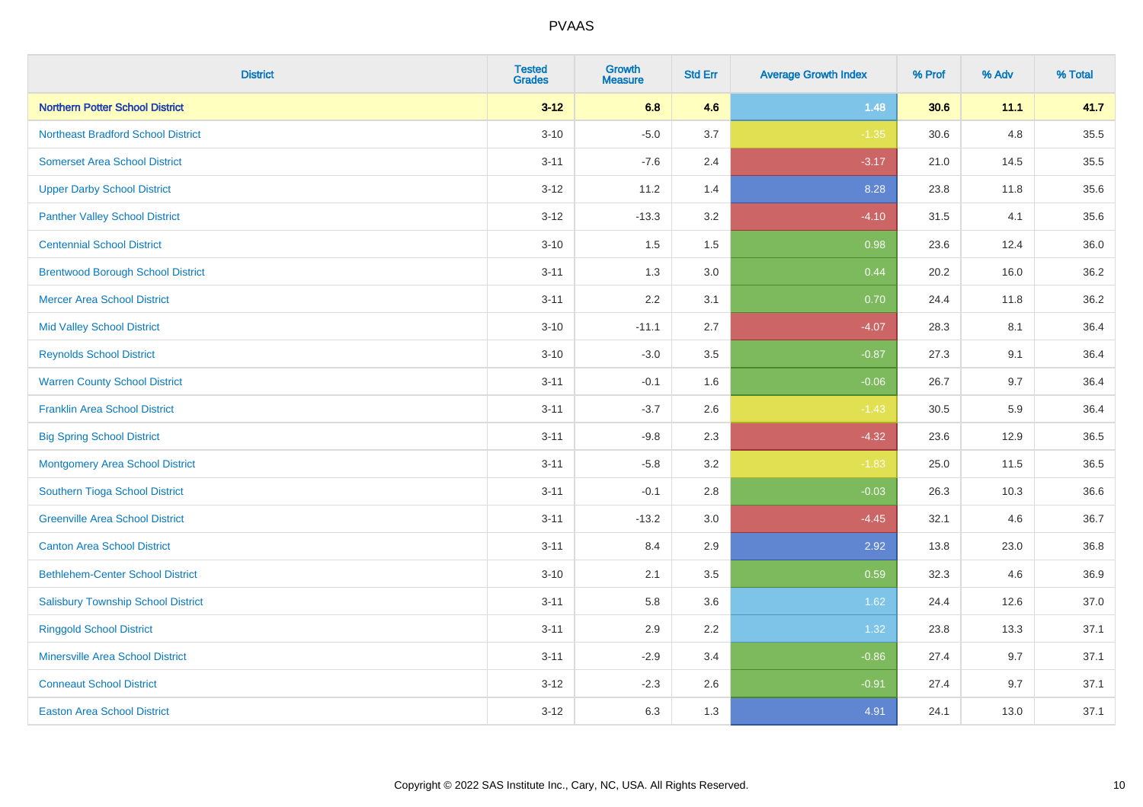| <b>District</b>                           | <b>Tested</b><br><b>Grades</b> | <b>Growth</b><br><b>Measure</b> | <b>Std Err</b> | <b>Average Growth Index</b> | % Prof | % Adv | % Total |
|-------------------------------------------|--------------------------------|---------------------------------|----------------|-----------------------------|--------|-------|---------|
| <b>Northern Potter School District</b>    | $3 - 12$                       | 6.8                             | 4.6            | 1.48                        | 30.6   | 11.1  | 41.7    |
| <b>Northeast Bradford School District</b> | $3 - 10$                       | $-5.0$                          | 3.7            | $-1.35$                     | 30.6   | 4.8   | 35.5    |
| <b>Somerset Area School District</b>      | $3 - 11$                       | $-7.6$                          | 2.4            | $-3.17$                     | 21.0   | 14.5  | 35.5    |
| <b>Upper Darby School District</b>        | $3 - 12$                       | 11.2                            | 1.4            | 8.28                        | 23.8   | 11.8  | 35.6    |
| <b>Panther Valley School District</b>     | $3-12$                         | $-13.3$                         | 3.2            | $-4.10$                     | 31.5   | 4.1   | 35.6    |
| <b>Centennial School District</b>         | $3 - 10$                       | 1.5                             | 1.5            | 0.98                        | 23.6   | 12.4  | 36.0    |
| <b>Brentwood Borough School District</b>  | $3 - 11$                       | 1.3                             | 3.0            | 0.44                        | 20.2   | 16.0  | 36.2    |
| <b>Mercer Area School District</b>        | $3 - 11$                       | 2.2                             | 3.1            | 0.70                        | 24.4   | 11.8  | 36.2    |
| <b>Mid Valley School District</b>         | $3 - 10$                       | $-11.1$                         | 2.7            | $-4.07$                     | 28.3   | 8.1   | 36.4    |
| <b>Reynolds School District</b>           | $3 - 10$                       | $-3.0$                          | 3.5            | $-0.87$                     | 27.3   | 9.1   | 36.4    |
| <b>Warren County School District</b>      | $3 - 11$                       | $-0.1$                          | 1.6            | $-0.06$                     | 26.7   | 9.7   | 36.4    |
| <b>Franklin Area School District</b>      | $3 - 11$                       | $-3.7$                          | 2.6            | $-1.43$                     | 30.5   | 5.9   | 36.4    |
| <b>Big Spring School District</b>         | $3 - 11$                       | $-9.8$                          | 2.3            | $-4.32$                     | 23.6   | 12.9  | 36.5    |
| <b>Montgomery Area School District</b>    | $3 - 11$                       | $-5.8$                          | 3.2            | $-1.83$                     | 25.0   | 11.5  | 36.5    |
| Southern Tioga School District            | $3 - 11$                       | $-0.1$                          | 2.8            | $-0.03$                     | 26.3   | 10.3  | 36.6    |
| <b>Greenville Area School District</b>    | $3 - 11$                       | $-13.2$                         | 3.0            | $-4.45$                     | 32.1   | 4.6   | 36.7    |
| <b>Canton Area School District</b>        | $3 - 11$                       | 8.4                             | 2.9            | 2.92                        | 13.8   | 23.0  | 36.8    |
| <b>Bethlehem-Center School District</b>   | $3 - 10$                       | 2.1                             | 3.5            | 0.59                        | 32.3   | 4.6   | 36.9    |
| <b>Salisbury Township School District</b> | $3 - 11$                       | 5.8                             | 3.6            | 1.62                        | 24.4   | 12.6  | 37.0    |
| <b>Ringgold School District</b>           | $3 - 11$                       | 2.9                             | 2.2            | 1.32                        | 23.8   | 13.3  | 37.1    |
| <b>Minersville Area School District</b>   | $3 - 11$                       | $-2.9$                          | 3.4            | $-0.86$                     | 27.4   | 9.7   | 37.1    |
| <b>Conneaut School District</b>           | $3-12$                         | $-2.3$                          | 2.6            | $-0.91$                     | 27.4   | 9.7   | 37.1    |
| <b>Easton Area School District</b>        | $3 - 12$                       | 6.3                             | 1.3            | 4.91                        | 24.1   | 13.0  | 37.1    |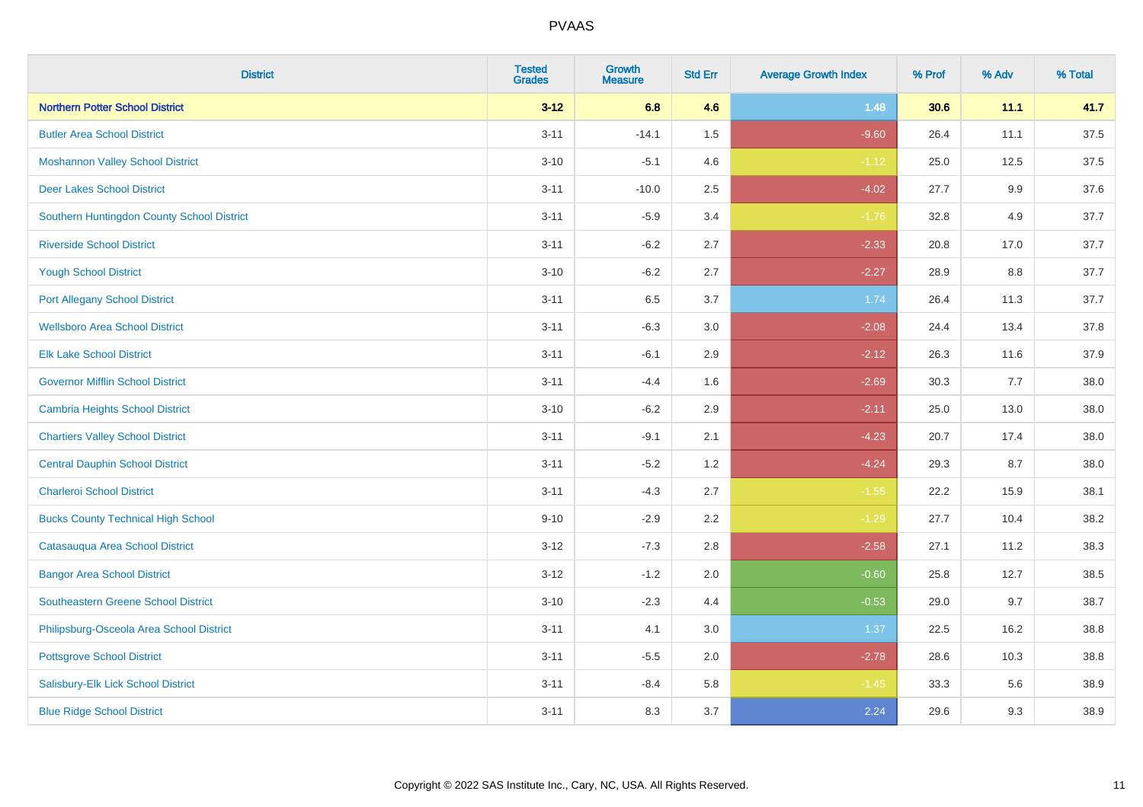| <b>District</b>                            | <b>Tested</b><br><b>Grades</b> | <b>Growth</b><br><b>Measure</b> | <b>Std Err</b> | <b>Average Growth Index</b> | % Prof | % Adv   | % Total |
|--------------------------------------------|--------------------------------|---------------------------------|----------------|-----------------------------|--------|---------|---------|
| <b>Northern Potter School District</b>     | $3 - 12$                       | 6.8                             | 4.6            | 1.48                        | 30.6   | 11.1    | 41.7    |
| <b>Butler Area School District</b>         | $3 - 11$                       | $-14.1$                         | $1.5\,$        | $-9.60$                     | 26.4   | 11.1    | 37.5    |
| <b>Moshannon Valley School District</b>    | $3 - 10$                       | $-5.1$                          | 4.6            | $-1.12$                     | 25.0   | 12.5    | 37.5    |
| <b>Deer Lakes School District</b>          | $3 - 11$                       | $-10.0$                         | 2.5            | $-4.02$                     | 27.7   | $9.9\,$ | 37.6    |
| Southern Huntingdon County School District | $3 - 11$                       | $-5.9$                          | 3.4            | $-1.76$                     | 32.8   | 4.9     | 37.7    |
| <b>Riverside School District</b>           | $3 - 11$                       | $-6.2$                          | 2.7            | $-2.33$                     | 20.8   | 17.0    | 37.7    |
| <b>Yough School District</b>               | $3 - 10$                       | $-6.2$                          | 2.7            | $-2.27$                     | 28.9   | 8.8     | 37.7    |
| <b>Port Allegany School District</b>       | $3 - 11$                       | 6.5                             | 3.7            | 1.74                        | 26.4   | 11.3    | 37.7    |
| <b>Wellsboro Area School District</b>      | $3 - 11$                       | $-6.3$                          | 3.0            | $-2.08$                     | 24.4   | 13.4    | 37.8    |
| <b>Elk Lake School District</b>            | $3 - 11$                       | $-6.1$                          | 2.9            | $-2.12$                     | 26.3   | 11.6    | 37.9    |
| <b>Governor Mifflin School District</b>    | $3 - 11$                       | $-4.4$                          | 1.6            | $-2.69$                     | 30.3   | 7.7     | 38.0    |
| <b>Cambria Heights School District</b>     | $3 - 10$                       | $-6.2$                          | 2.9            | $-2.11$                     | 25.0   | 13.0    | 38.0    |
| <b>Chartiers Valley School District</b>    | $3 - 11$                       | $-9.1$                          | 2.1            | $-4.23$                     | 20.7   | 17.4    | 38.0    |
| <b>Central Dauphin School District</b>     | $3 - 11$                       | $-5.2$                          | 1.2            | $-4.24$                     | 29.3   | 8.7     | 38.0    |
| <b>Charleroi School District</b>           | $3 - 11$                       | $-4.3$                          | 2.7            | $-1.55$                     | 22.2   | 15.9    | 38.1    |
| <b>Bucks County Technical High School</b>  | $9 - 10$                       | $-2.9$                          | 2.2            | $-1.29$                     | 27.7   | 10.4    | 38.2    |
| Catasauqua Area School District            | $3 - 12$                       | $-7.3$                          | 2.8            | $-2.58$                     | 27.1   | 11.2    | 38.3    |
| <b>Bangor Area School District</b>         | $3 - 12$                       | $-1.2$                          | 2.0            | $-0.60$                     | 25.8   | 12.7    | 38.5    |
| <b>Southeastern Greene School District</b> | $3 - 10$                       | $-2.3$                          | 4.4            | $-0.53$                     | 29.0   | 9.7     | 38.7    |
| Philipsburg-Osceola Area School District   | $3 - 11$                       | 4.1                             | 3.0            | 1.37                        | 22.5   | 16.2    | 38.8    |
| <b>Pottsgrove School District</b>          | $3 - 11$                       | $-5.5$                          | 2.0            | $-2.78$                     | 28.6   | 10.3    | 38.8    |
| Salisbury-Elk Lick School District         | $3 - 11$                       | $-8.4$                          | 5.8            | $-1.45$                     | 33.3   | 5.6     | 38.9    |
| <b>Blue Ridge School District</b>          | $3 - 11$                       | 8.3                             | 3.7            | 2.24                        | 29.6   | 9.3     | 38.9    |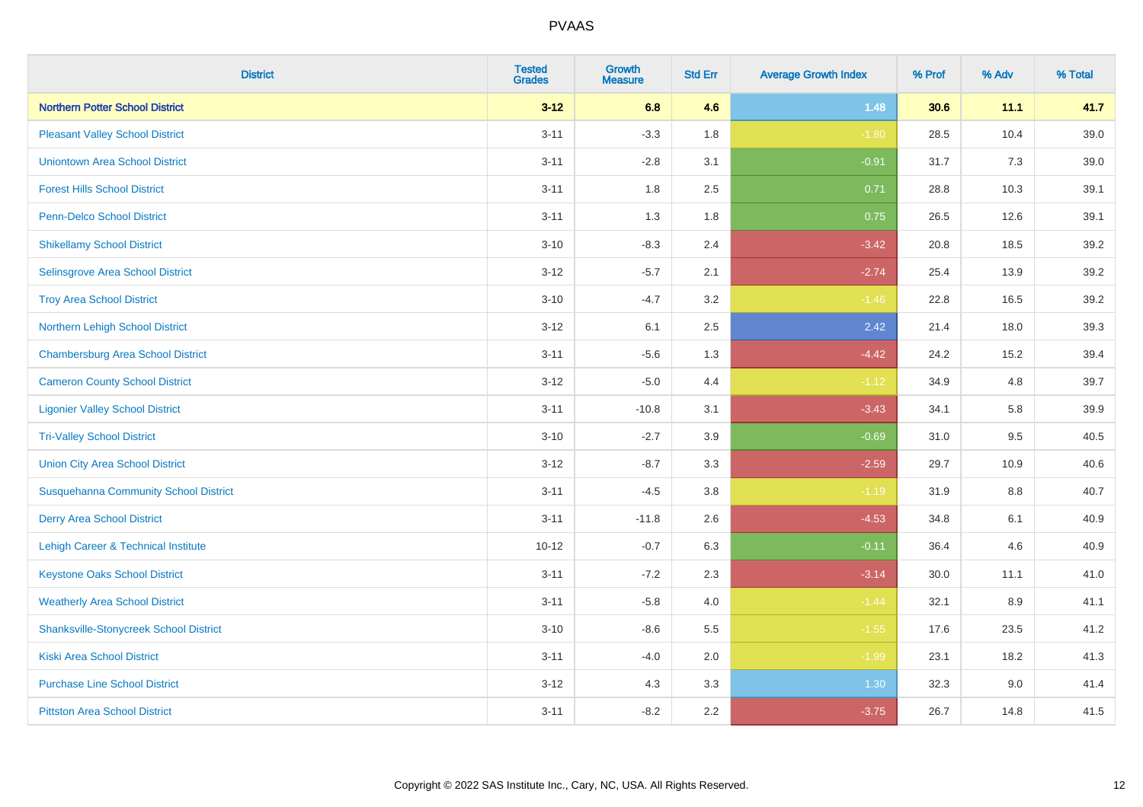| <b>District</b>                               | <b>Tested</b><br><b>Grades</b> | <b>Growth</b><br><b>Measure</b> | <b>Std Err</b> | <b>Average Growth Index</b> | % Prof | % Adv | % Total |
|-----------------------------------------------|--------------------------------|---------------------------------|----------------|-----------------------------|--------|-------|---------|
| <b>Northern Potter School District</b>        | $3 - 12$                       | 6.8                             | 4.6            | 1.48                        | 30.6   | 11.1  | 41.7    |
| <b>Pleasant Valley School District</b>        | $3 - 11$                       | $-3.3$                          | 1.8            | $-1.80$                     | 28.5   | 10.4  | 39.0    |
| <b>Uniontown Area School District</b>         | $3 - 11$                       | $-2.8$                          | 3.1            | $-0.91$                     | 31.7   | 7.3   | 39.0    |
| <b>Forest Hills School District</b>           | $3 - 11$                       | 1.8                             | 2.5            | 0.71                        | 28.8   | 10.3  | 39.1    |
| <b>Penn-Delco School District</b>             | $3 - 11$                       | 1.3                             | 1.8            | 0.75                        | 26.5   | 12.6  | 39.1    |
| <b>Shikellamy School District</b>             | $3 - 10$                       | $-8.3$                          | 2.4            | $-3.42$                     | 20.8   | 18.5  | 39.2    |
| Selinsgrove Area School District              | $3 - 12$                       | $-5.7$                          | 2.1            | $-2.74$                     | 25.4   | 13.9  | 39.2    |
| <b>Troy Area School District</b>              | $3 - 10$                       | $-4.7$                          | 3.2            | $-1.46$                     | 22.8   | 16.5  | 39.2    |
| Northern Lehigh School District               | $3 - 12$                       | 6.1                             | 2.5            | 2.42                        | 21.4   | 18.0  | 39.3    |
| <b>Chambersburg Area School District</b>      | $3 - 11$                       | $-5.6$                          | 1.3            | $-4.42$                     | 24.2   | 15.2  | 39.4    |
| <b>Cameron County School District</b>         | $3-12$                         | $-5.0$                          | 4.4            | $-1.12$                     | 34.9   | 4.8   | 39.7    |
| <b>Ligonier Valley School District</b>        | $3 - 11$                       | $-10.8$                         | 3.1            | $-3.43$                     | 34.1   | 5.8   | 39.9    |
| <b>Tri-Valley School District</b>             | $3 - 10$                       | $-2.7$                          | 3.9            | $-0.69$                     | 31.0   | 9.5   | 40.5    |
| <b>Union City Area School District</b>        | $3 - 12$                       | $-8.7$                          | 3.3            | $-2.59$                     | 29.7   | 10.9  | 40.6    |
| <b>Susquehanna Community School District</b>  | $3 - 11$                       | $-4.5$                          | 3.8            | $-1.19$                     | 31.9   | 8.8   | 40.7    |
| <b>Derry Area School District</b>             | $3 - 11$                       | $-11.8$                         | 2.6            | $-4.53$                     | 34.8   | 6.1   | 40.9    |
| Lehigh Career & Technical Institute           | $10 - 12$                      | $-0.7$                          | 6.3            | $-0.11$                     | 36.4   | 4.6   | 40.9    |
| <b>Keystone Oaks School District</b>          | $3 - 11$                       | $-7.2$                          | 2.3            | $-3.14$                     | 30.0   | 11.1  | 41.0    |
| <b>Weatherly Area School District</b>         | $3 - 11$                       | $-5.8$                          | 4.0            | $-1.44$                     | 32.1   | 8.9   | 41.1    |
| <b>Shanksville-Stonycreek School District</b> | $3 - 10$                       | $-8.6$                          | 5.5            | $-1.55$                     | 17.6   | 23.5  | 41.2    |
| <b>Kiski Area School District</b>             | $3 - 11$                       | $-4.0$                          | 2.0            | $-1.99$                     | 23.1   | 18.2  | 41.3    |
| <b>Purchase Line School District</b>          | $3-12$                         | 4.3                             | 3.3            | 1.30                        | 32.3   | 9.0   | 41.4    |
| <b>Pittston Area School District</b>          | $3 - 11$                       | $-8.2$                          | 2.2            | $-3.75$                     | 26.7   | 14.8  | 41.5    |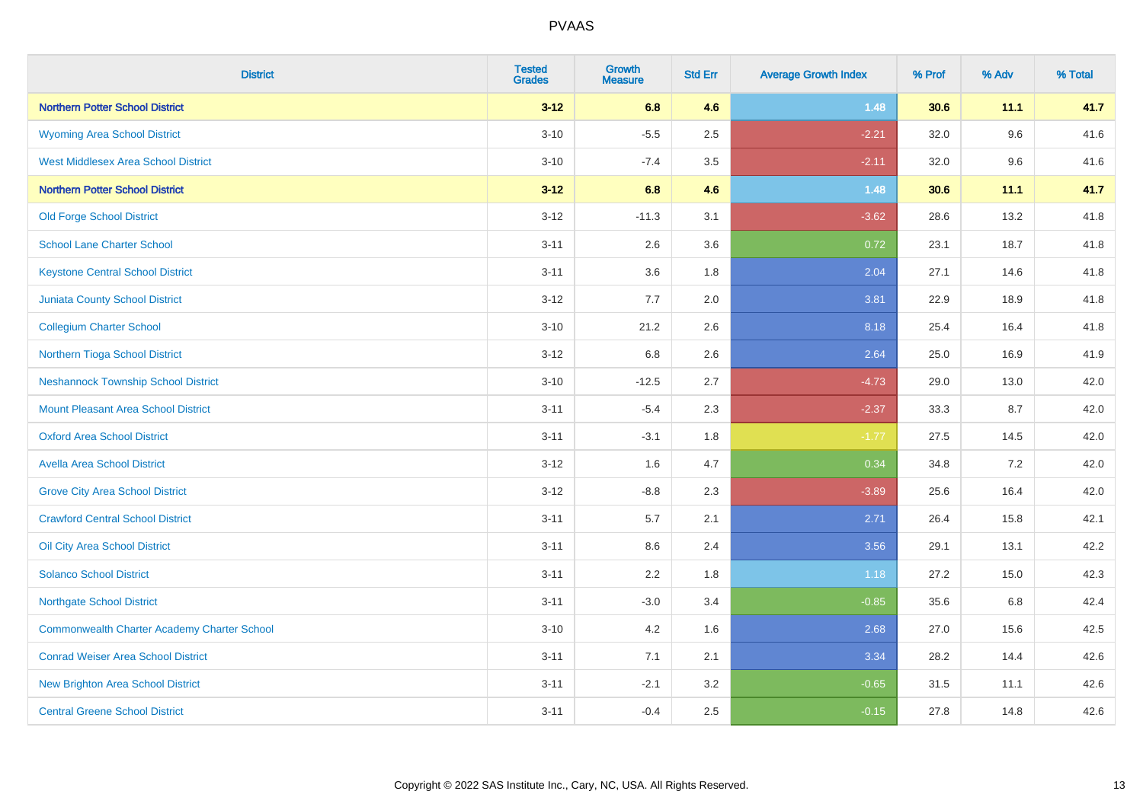| <b>District</b>                                    | <b>Tested</b><br><b>Grades</b> | <b>Growth</b><br><b>Measure</b> | <b>Std Err</b> | <b>Average Growth Index</b> | % Prof | % Adv | % Total |
|----------------------------------------------------|--------------------------------|---------------------------------|----------------|-----------------------------|--------|-------|---------|
| <b>Northern Potter School District</b>             | $3 - 12$                       | 6.8                             | 4.6            | 1.48                        | 30.6   | 11.1  | 41.7    |
| <b>Wyoming Area School District</b>                | $3 - 10$                       | $-5.5$                          | 2.5            | $-2.21$                     | 32.0   | 9.6   | 41.6    |
| <b>West Middlesex Area School District</b>         | $3 - 10$                       | $-7.4$                          | 3.5            | $-2.11$                     | 32.0   | 9.6   | 41.6    |
| <b>Northern Potter School District</b>             | $3 - 12$                       | 6.8                             | 4.6            | 1.48                        | 30.6   | 11.1  | 41.7    |
| <b>Old Forge School District</b>                   | $3 - 12$                       | $-11.3$                         | 3.1            | $-3.62$                     | 28.6   | 13.2  | 41.8    |
| <b>School Lane Charter School</b>                  | $3 - 11$                       | 2.6                             | 3.6            | 0.72                        | 23.1   | 18.7  | 41.8    |
| <b>Keystone Central School District</b>            | $3 - 11$                       | 3.6                             | 1.8            | 2.04                        | 27.1   | 14.6  | 41.8    |
| <b>Juniata County School District</b>              | $3 - 12$                       | 7.7                             | 2.0            | 3.81                        | 22.9   | 18.9  | 41.8    |
| <b>Collegium Charter School</b>                    | $3 - 10$                       | 21.2                            | 2.6            | 8.18                        | 25.4   | 16.4  | 41.8    |
| Northern Tioga School District                     | $3 - 12$                       | 6.8                             | 2.6            | 2.64                        | 25.0   | 16.9  | 41.9    |
| <b>Neshannock Township School District</b>         | $3 - 10$                       | $-12.5$                         | 2.7            | $-4.73$                     | 29.0   | 13.0  | 42.0    |
| <b>Mount Pleasant Area School District</b>         | $3 - 11$                       | $-5.4$                          | 2.3            | $-2.37$                     | 33.3   | 8.7   | 42.0    |
| <b>Oxford Area School District</b>                 | $3 - 11$                       | $-3.1$                          | 1.8            | $-1.77$                     | 27.5   | 14.5  | 42.0    |
| <b>Avella Area School District</b>                 | $3 - 12$                       | 1.6                             | 4.7            | 0.34                        | 34.8   | 7.2   | 42.0    |
| <b>Grove City Area School District</b>             | $3 - 12$                       | $-8.8$                          | 2.3            | $-3.89$                     | 25.6   | 16.4  | 42.0    |
| <b>Crawford Central School District</b>            | $3 - 11$                       | 5.7                             | 2.1            | 2.71                        | 26.4   | 15.8  | 42.1    |
| Oil City Area School District                      | $3 - 11$                       | 8.6                             | 2.4            | 3.56                        | 29.1   | 13.1  | 42.2    |
| <b>Solanco School District</b>                     | $3 - 11$                       | 2.2                             | 1.8            | 1.18                        | 27.2   | 15.0  | 42.3    |
| <b>Northgate School District</b>                   | $3 - 11$                       | $-3.0$                          | 3.4            | $-0.85$                     | 35.6   | 6.8   | 42.4    |
| <b>Commonwealth Charter Academy Charter School</b> | $3 - 10$                       | 4.2                             | 1.6            | 2.68                        | 27.0   | 15.6  | 42.5    |
| <b>Conrad Weiser Area School District</b>          | $3 - 11$                       | 7.1                             | 2.1            | 3.34                        | 28.2   | 14.4  | 42.6    |
| <b>New Brighton Area School District</b>           | $3 - 11$                       | $-2.1$                          | 3.2            | $-0.65$                     | 31.5   | 11.1  | 42.6    |
| <b>Central Greene School District</b>              | $3 - 11$                       | $-0.4$                          | 2.5            | $-0.15$                     | 27.8   | 14.8  | 42.6    |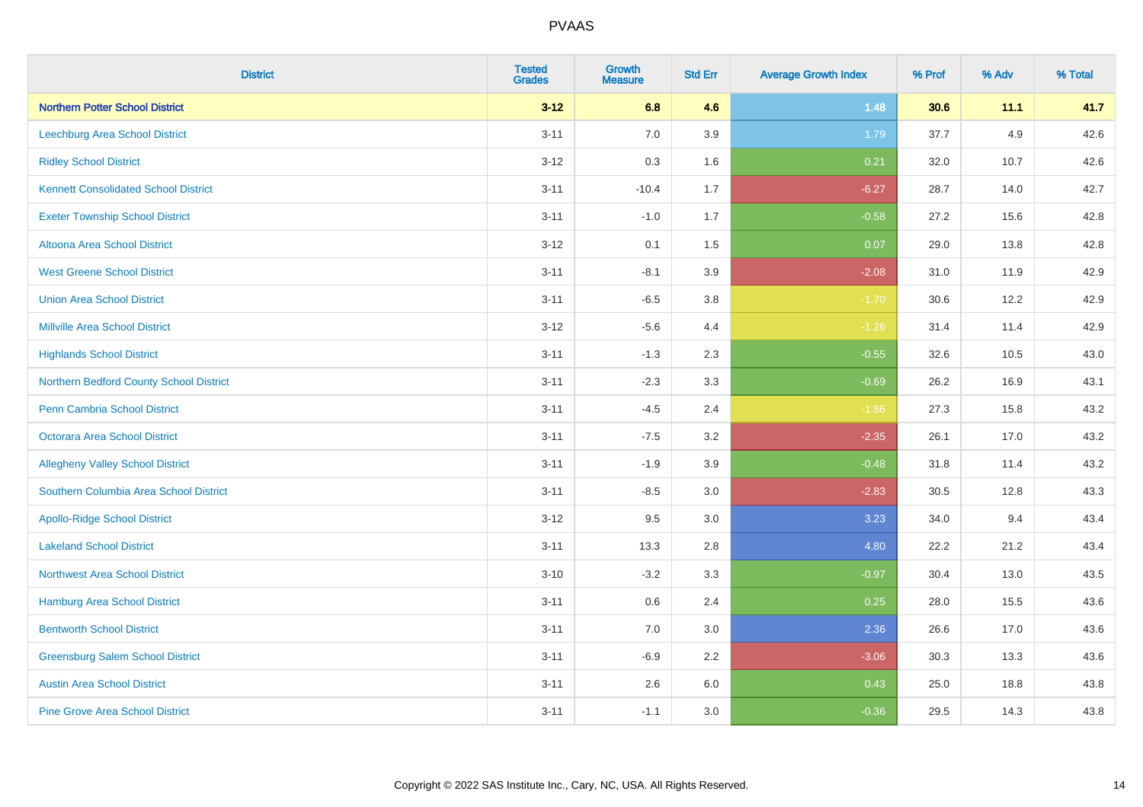| <b>District</b>                             | <b>Tested</b><br><b>Grades</b> | <b>Growth</b><br><b>Measure</b> | <b>Std Err</b> | <b>Average Growth Index</b> | % Prof | % Adv | % Total |
|---------------------------------------------|--------------------------------|---------------------------------|----------------|-----------------------------|--------|-------|---------|
| <b>Northern Potter School District</b>      | $3 - 12$                       | 6.8                             | 4.6            | 1.48                        | 30.6   | 11.1  | 41.7    |
| Leechburg Area School District              | $3 - 11$                       | 7.0                             | 3.9            | 1.79                        | 37.7   | 4.9   | 42.6    |
| <b>Ridley School District</b>               | $3 - 12$                       | 0.3                             | 1.6            | 0.21                        | 32.0   | 10.7  | 42.6    |
| <b>Kennett Consolidated School District</b> | $3 - 11$                       | $-10.4$                         | 1.7            | $-6.27$                     | 28.7   | 14.0  | 42.7    |
| <b>Exeter Township School District</b>      | $3 - 11$                       | $-1.0$                          | 1.7            | $-0.58$                     | 27.2   | 15.6  | 42.8    |
| Altoona Area School District                | $3 - 12$                       | 0.1                             | 1.5            | 0.07                        | 29.0   | 13.8  | 42.8    |
| <b>West Greene School District</b>          | $3 - 11$                       | $-8.1$                          | 3.9            | $-2.08$                     | 31.0   | 11.9  | 42.9    |
| <b>Union Area School District</b>           | $3 - 11$                       | $-6.5$                          | 3.8            | $-1.70$                     | 30.6   | 12.2  | 42.9    |
| <b>Millville Area School District</b>       | $3 - 12$                       | $-5.6$                          | 4.4            | $-1.26$                     | 31.4   | 11.4  | 42.9    |
| <b>Highlands School District</b>            | $3 - 11$                       | $-1.3$                          | 2.3            | $-0.55$                     | 32.6   | 10.5  | 43.0    |
| Northern Bedford County School District     | $3 - 11$                       | $-2.3$                          | 3.3            | $-0.69$                     | 26.2   | 16.9  | 43.1    |
| <b>Penn Cambria School District</b>         | $3 - 11$                       | $-4.5$                          | 2.4            | $-1.86$                     | 27.3   | 15.8  | 43.2    |
| <b>Octorara Area School District</b>        | $3 - 11$                       | $-7.5$                          | 3.2            | $-2.35$                     | 26.1   | 17.0  | 43.2    |
| <b>Allegheny Valley School District</b>     | $3 - 11$                       | $-1.9$                          | 3.9            | $-0.48$                     | 31.8   | 11.4  | 43.2    |
| Southern Columbia Area School District      | $3 - 11$                       | $-8.5$                          | 3.0            | $-2.83$                     | 30.5   | 12.8  | 43.3    |
| <b>Apollo-Ridge School District</b>         | $3-12$                         | 9.5                             | 3.0            | 3.23                        | 34.0   | 9.4   | 43.4    |
| <b>Lakeland School District</b>             | $3 - 11$                       | 13.3                            | 2.8            | 4.80                        | 22.2   | 21.2  | 43.4    |
| <b>Northwest Area School District</b>       | $3 - 10$                       | $-3.2$                          | 3.3            | $-0.97$                     | 30.4   | 13.0  | 43.5    |
| Hamburg Area School District                | $3 - 11$                       | 0.6                             | 2.4            | 0.25                        | 28.0   | 15.5  | 43.6    |
| <b>Bentworth School District</b>            | $3 - 11$                       | 7.0                             | 3.0            | 2.36                        | 26.6   | 17.0  | 43.6    |
| <b>Greensburg Salem School District</b>     | $3 - 11$                       | $-6.9$                          | 2.2            | $-3.06$                     | 30.3   | 13.3  | 43.6    |
| <b>Austin Area School District</b>          | $3 - 11$                       | 2.6                             | 6.0            | 0.43                        | 25.0   | 18.8  | 43.8    |
| <b>Pine Grove Area School District</b>      | $3 - 11$                       | $-1.1$                          | 3.0            | $-0.36$                     | 29.5   | 14.3  | 43.8    |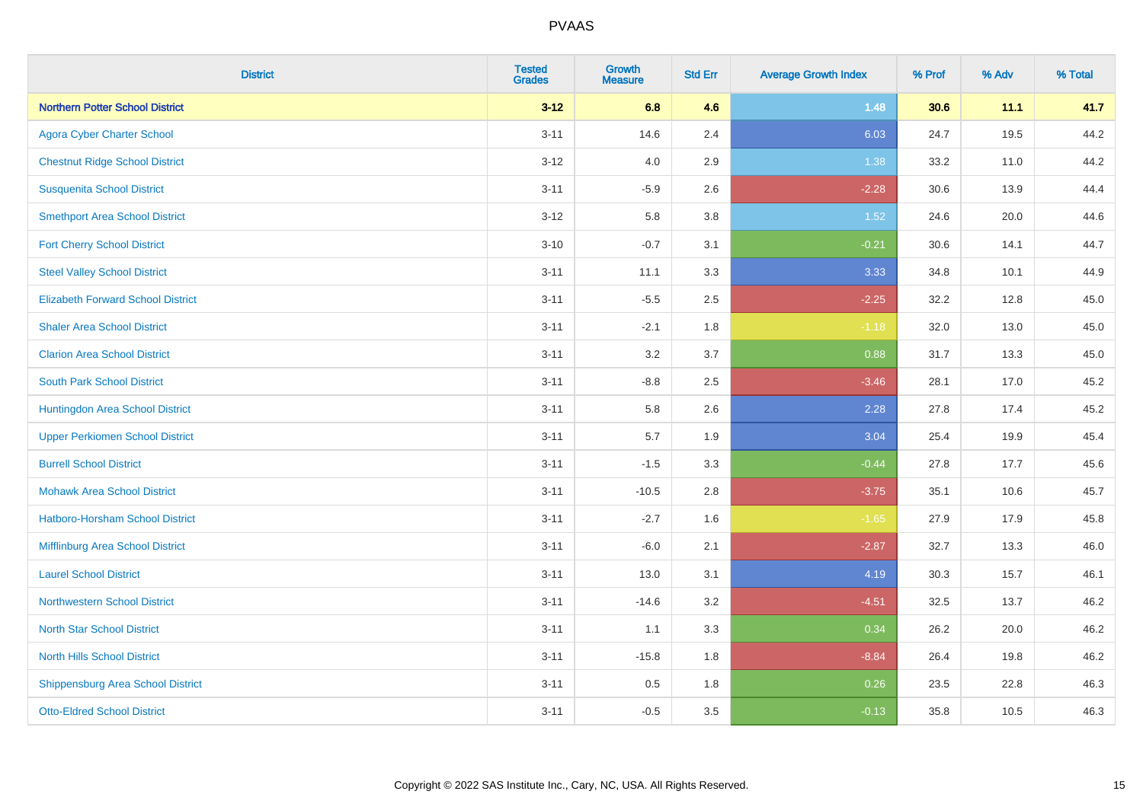| <b>District</b>                          | <b>Tested</b><br><b>Grades</b> | <b>Growth</b><br><b>Measure</b> | <b>Std Err</b> | <b>Average Growth Index</b> | % Prof | % Adv | % Total |
|------------------------------------------|--------------------------------|---------------------------------|----------------|-----------------------------|--------|-------|---------|
| <b>Northern Potter School District</b>   | $3 - 12$                       | 6.8                             | 4.6            | 1.48                        | 30.6   | 11.1  | 41.7    |
| <b>Agora Cyber Charter School</b>        | $3 - 11$                       | 14.6                            | 2.4            | 6.03                        | 24.7   | 19.5  | 44.2    |
| <b>Chestnut Ridge School District</b>    | $3 - 12$                       | 4.0                             | 2.9            | 1.38                        | 33.2   | 11.0  | 44.2    |
| <b>Susquenita School District</b>        | $3 - 11$                       | $-5.9$                          | 2.6            | $-2.28$                     | 30.6   | 13.9  | 44.4    |
| <b>Smethport Area School District</b>    | $3 - 12$                       | 5.8                             | 3.8            | 1.52                        | 24.6   | 20.0  | 44.6    |
| <b>Fort Cherry School District</b>       | $3 - 10$                       | $-0.7$                          | 3.1            | $-0.21$                     | 30.6   | 14.1  | 44.7    |
| <b>Steel Valley School District</b>      | $3 - 11$                       | 11.1                            | 3.3            | 3.33                        | 34.8   | 10.1  | 44.9    |
| <b>Elizabeth Forward School District</b> | $3 - 11$                       | $-5.5$                          | 2.5            | $-2.25$                     | 32.2   | 12.8  | 45.0    |
| <b>Shaler Area School District</b>       | $3 - 11$                       | $-2.1$                          | 1.8            | $-1.18$                     | 32.0   | 13.0  | 45.0    |
| <b>Clarion Area School District</b>      | $3 - 11$                       | 3.2                             | 3.7            | 0.88                        | 31.7   | 13.3  | 45.0    |
| <b>South Park School District</b>        | $3 - 11$                       | $-8.8$                          | 2.5            | $-3.46$                     | 28.1   | 17.0  | 45.2    |
| Huntingdon Area School District          | $3 - 11$                       | 5.8                             | 2.6            | 2.28                        | 27.8   | 17.4  | 45.2    |
| <b>Upper Perkiomen School District</b>   | $3 - 11$                       | 5.7                             | 1.9            | 3.04                        | 25.4   | 19.9  | 45.4    |
| <b>Burrell School District</b>           | $3 - 11$                       | $-1.5$                          | 3.3            | $-0.44$                     | 27.8   | 17.7  | 45.6    |
| <b>Mohawk Area School District</b>       | $3 - 11$                       | $-10.5$                         | 2.8            | $-3.75$                     | 35.1   | 10.6  | 45.7    |
| <b>Hatboro-Horsham School District</b>   | $3 - 11$                       | $-2.7$                          | 1.6            | $-1.65$                     | 27.9   | 17.9  | 45.8    |
| Mifflinburg Area School District         | $3 - 11$                       | $-6.0$                          | 2.1            | $-2.87$                     | 32.7   | 13.3  | 46.0    |
| <b>Laurel School District</b>            | $3 - 11$                       | 13.0                            | 3.1            | 4.19                        | 30.3   | 15.7  | 46.1    |
| Northwestern School District             | $3 - 11$                       | $-14.6$                         | 3.2            | $-4.51$                     | 32.5   | 13.7  | 46.2    |
| <b>North Star School District</b>        | $3 - 11$                       | 1.1                             | 3.3            | 0.34                        | 26.2   | 20.0  | 46.2    |
| <b>North Hills School District</b>       | $3 - 11$                       | $-15.8$                         | 1.8            | $-8.84$                     | 26.4   | 19.8  | 46.2    |
| <b>Shippensburg Area School District</b> | $3 - 11$                       | 0.5                             | 1.8            | 0.26                        | 23.5   | 22.8  | 46.3    |
| <b>Otto-Eldred School District</b>       | $3 - 11$                       | $-0.5$                          | 3.5            | $-0.13$                     | 35.8   | 10.5  | 46.3    |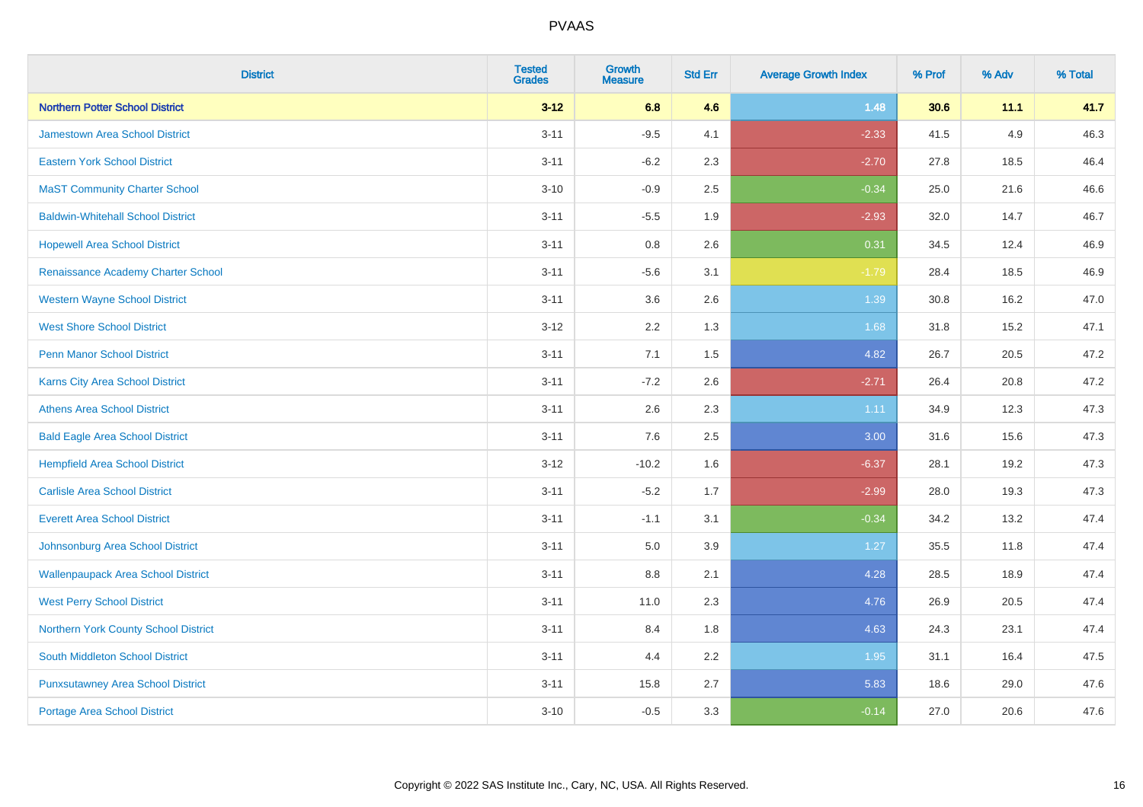| <b>District</b>                           | <b>Tested</b><br><b>Grades</b> | <b>Growth</b><br><b>Measure</b> | <b>Std Err</b> | <b>Average Growth Index</b> | % Prof | % Adv | % Total |
|-------------------------------------------|--------------------------------|---------------------------------|----------------|-----------------------------|--------|-------|---------|
| <b>Northern Potter School District</b>    | $3 - 12$                       | 6.8                             | 4.6            | 1.48                        | 30.6   | 11.1  | 41.7    |
| <b>Jamestown Area School District</b>     | $3 - 11$                       | $-9.5$                          | 4.1            | $-2.33$                     | 41.5   | 4.9   | 46.3    |
| <b>Eastern York School District</b>       | $3 - 11$                       | $-6.2$                          | 2.3            | $-2.70$                     | 27.8   | 18.5  | 46.4    |
| <b>MaST Community Charter School</b>      | $3 - 10$                       | $-0.9$                          | 2.5            | $-0.34$                     | 25.0   | 21.6  | 46.6    |
| <b>Baldwin-Whitehall School District</b>  | $3 - 11$                       | $-5.5$                          | 1.9            | $-2.93$                     | 32.0   | 14.7  | 46.7    |
| <b>Hopewell Area School District</b>      | $3 - 11$                       | 0.8                             | 2.6            | 0.31                        | 34.5   | 12.4  | 46.9    |
| Renaissance Academy Charter School        | $3 - 11$                       | $-5.6$                          | 3.1            | $-1.79$                     | 28.4   | 18.5  | 46.9    |
| <b>Western Wayne School District</b>      | $3 - 11$                       | 3.6                             | 2.6            | 1.39                        | 30.8   | 16.2  | 47.0    |
| <b>West Shore School District</b>         | $3 - 12$                       | 2.2                             | 1.3            | 1.68                        | 31.8   | 15.2  | 47.1    |
| <b>Penn Manor School District</b>         | $3 - 11$                       | 7.1                             | 1.5            | 4.82                        | 26.7   | 20.5  | 47.2    |
| Karns City Area School District           | $3 - 11$                       | $-7.2$                          | 2.6            | $-2.71$                     | 26.4   | 20.8  | 47.2    |
| <b>Athens Area School District</b>        | $3 - 11$                       | 2.6                             | 2.3            | 1.11                        | 34.9   | 12.3  | 47.3    |
| <b>Bald Eagle Area School District</b>    | $3 - 11$                       | 7.6                             | 2.5            | 3.00                        | 31.6   | 15.6  | 47.3    |
| <b>Hempfield Area School District</b>     | $3 - 12$                       | $-10.2$                         | 1.6            | $-6.37$                     | 28.1   | 19.2  | 47.3    |
| <b>Carlisle Area School District</b>      | $3 - 11$                       | $-5.2$                          | 1.7            | $-2.99$                     | 28.0   | 19.3  | 47.3    |
| <b>Everett Area School District</b>       | $3 - 11$                       | $-1.1$                          | 3.1            | $-0.34$                     | 34.2   | 13.2  | 47.4    |
| Johnsonburg Area School District          | $3 - 11$                       | 5.0                             | 3.9            | 1.27                        | 35.5   | 11.8  | 47.4    |
| <b>Wallenpaupack Area School District</b> | $3 - 11$                       | 8.8                             | 2.1            | 4.28                        | 28.5   | 18.9  | 47.4    |
| <b>West Perry School District</b>         | $3 - 11$                       | 11.0                            | 2.3            | 4.76                        | 26.9   | 20.5  | 47.4    |
| Northern York County School District      | $3 - 11$                       | 8.4                             | 1.8            | 4.63                        | 24.3   | 23.1  | 47.4    |
| <b>South Middleton School District</b>    | $3 - 11$                       | 4.4                             | 2.2            | 1.95                        | 31.1   | 16.4  | 47.5    |
| <b>Punxsutawney Area School District</b>  | $3 - 11$                       | 15.8                            | 2.7            | 5.83                        | 18.6   | 29.0  | 47.6    |
| Portage Area School District              | $3 - 10$                       | $-0.5$                          | 3.3            | $-0.14$                     | 27.0   | 20.6  | 47.6    |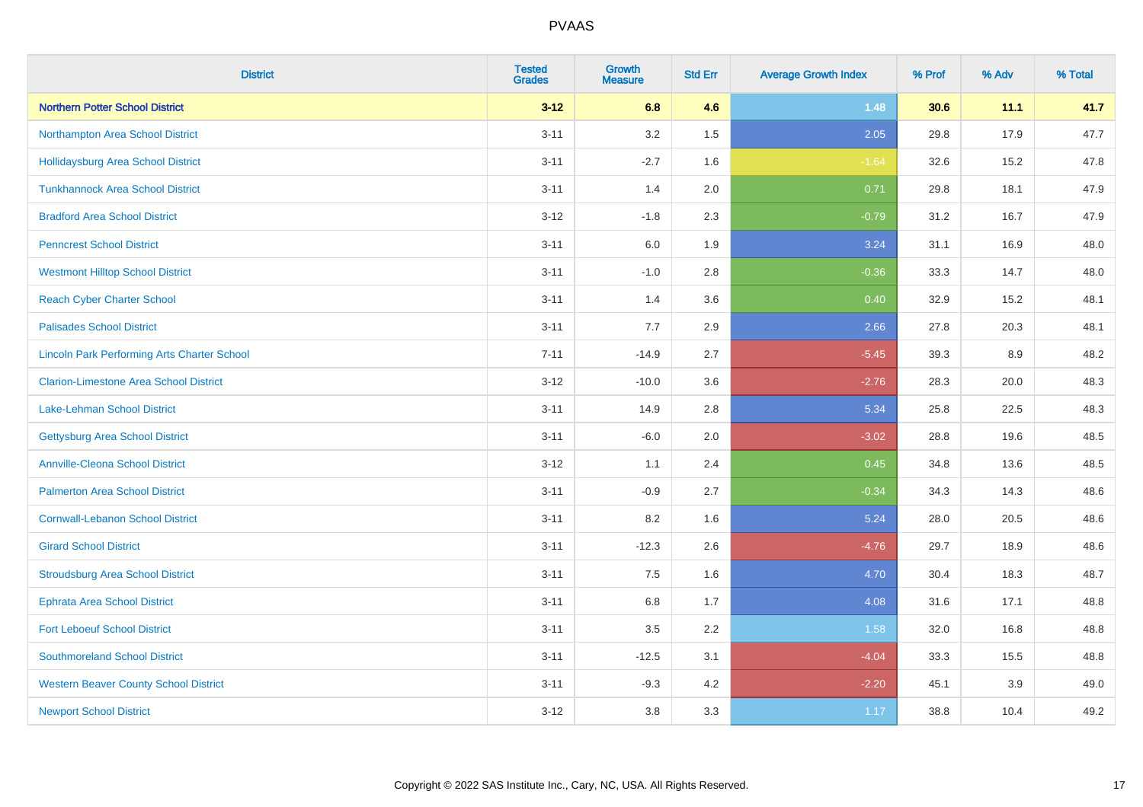| <b>District</b>                                    | <b>Tested</b><br><b>Grades</b> | <b>Growth</b><br><b>Measure</b> | <b>Std Err</b> | <b>Average Growth Index</b> | % Prof | % Adv | % Total |
|----------------------------------------------------|--------------------------------|---------------------------------|----------------|-----------------------------|--------|-------|---------|
| <b>Northern Potter School District</b>             | $3 - 12$                       | 6.8                             | 4.6            | 1.48                        | 30.6   | 11.1  | 41.7    |
| Northampton Area School District                   | $3 - 11$                       | 3.2                             | 1.5            | 2.05                        | 29.8   | 17.9  | 47.7    |
| <b>Hollidaysburg Area School District</b>          | $3 - 11$                       | $-2.7$                          | 1.6            | $-1.64$                     | 32.6   | 15.2  | 47.8    |
| <b>Tunkhannock Area School District</b>            | $3 - 11$                       | 1.4                             | 2.0            | 0.71                        | 29.8   | 18.1  | 47.9    |
| <b>Bradford Area School District</b>               | $3-12$                         | $-1.8$                          | 2.3            | $-0.79$                     | 31.2   | 16.7  | 47.9    |
| <b>Penncrest School District</b>                   | $3 - 11$                       | 6.0                             | 1.9            | 3.24                        | 31.1   | 16.9  | 48.0    |
| <b>Westmont Hilltop School District</b>            | $3 - 11$                       | $-1.0$                          | 2.8            | $-0.36$                     | 33.3   | 14.7  | 48.0    |
| <b>Reach Cyber Charter School</b>                  | $3 - 11$                       | 1.4                             | 3.6            | 0.40                        | 32.9   | 15.2  | 48.1    |
| <b>Palisades School District</b>                   | $3 - 11$                       | 7.7                             | 2.9            | 2.66                        | 27.8   | 20.3  | 48.1    |
| <b>Lincoln Park Performing Arts Charter School</b> | $7 - 11$                       | $-14.9$                         | 2.7            | $-5.45$                     | 39.3   | 8.9   | 48.2    |
| <b>Clarion-Limestone Area School District</b>      | $3 - 12$                       | $-10.0$                         | 3.6            | $-2.76$                     | 28.3   | 20.0  | 48.3    |
| <b>Lake-Lehman School District</b>                 | $3 - 11$                       | 14.9                            | 2.8            | 5.34                        | 25.8   | 22.5  | 48.3    |
| <b>Gettysburg Area School District</b>             | $3 - 11$                       | $-6.0$                          | 2.0            | $-3.02$                     | 28.8   | 19.6  | 48.5    |
| <b>Annville-Cleona School District</b>             | $3 - 12$                       | 1.1                             | 2.4            | 0.45                        | 34.8   | 13.6  | 48.5    |
| <b>Palmerton Area School District</b>              | $3 - 11$                       | $-0.9$                          | 2.7            | $-0.34$                     | 34.3   | 14.3  | 48.6    |
| <b>Cornwall-Lebanon School District</b>            | $3 - 11$                       | 8.2                             | 1.6            | 5.24                        | 28.0   | 20.5  | 48.6    |
| <b>Girard School District</b>                      | $3 - 11$                       | $-12.3$                         | 2.6            | $-4.76$                     | 29.7   | 18.9  | 48.6    |
| <b>Stroudsburg Area School District</b>            | $3 - 11$                       | 7.5                             | 1.6            | 4.70                        | 30.4   | 18.3  | 48.7    |
| <b>Ephrata Area School District</b>                | $3 - 11$                       | $6.8\,$                         | 1.7            | 4.08                        | 31.6   | 17.1  | 48.8    |
| <b>Fort Leboeuf School District</b>                | $3 - 11$                       | 3.5                             | 2.2            | 1.58                        | 32.0   | 16.8  | 48.8    |
| <b>Southmoreland School District</b>               | $3 - 11$                       | $-12.5$                         | 3.1            | $-4.04$                     | 33.3   | 15.5  | 48.8    |
| <b>Western Beaver County School District</b>       | $3 - 11$                       | $-9.3$                          | 4.2            | $-2.20$                     | 45.1   | 3.9   | 49.0    |
| <b>Newport School District</b>                     | $3 - 12$                       | 3.8                             | 3.3            | 1.17                        | 38.8   | 10.4  | 49.2    |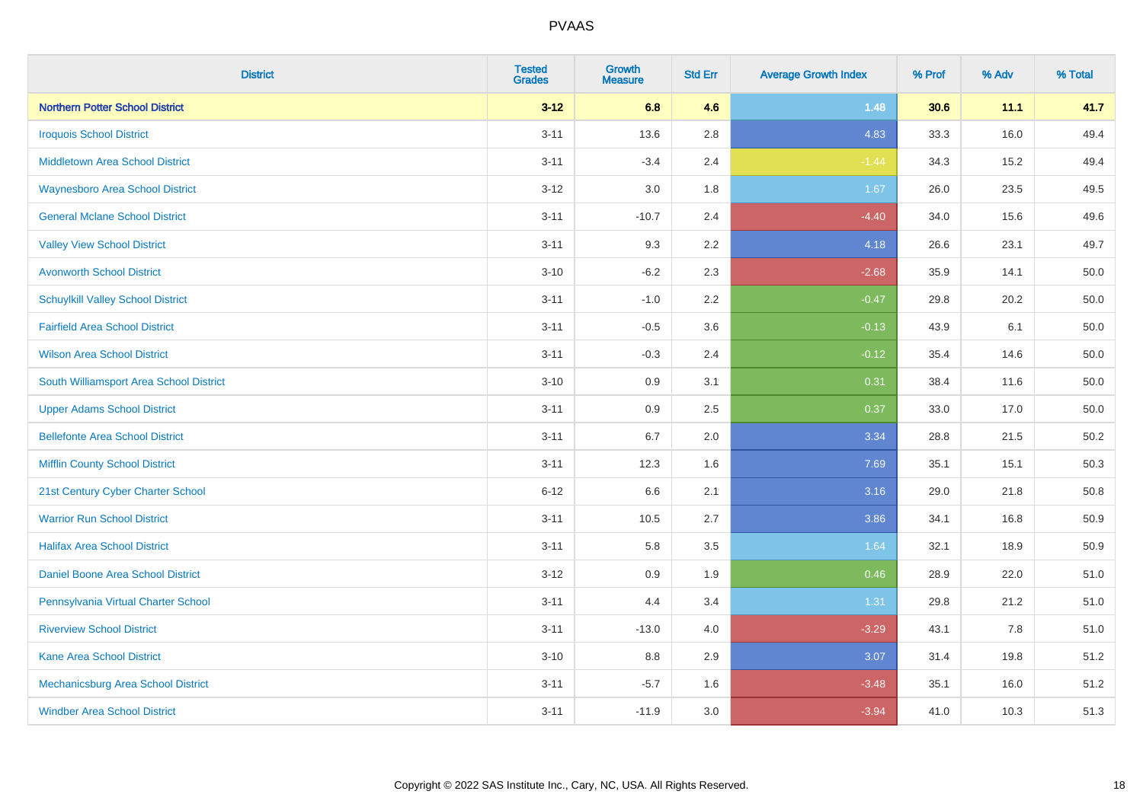| <b>District</b>                          | <b>Tested</b><br><b>Grades</b> | <b>Growth</b><br><b>Measure</b> | <b>Std Err</b> | <b>Average Growth Index</b> | % Prof | % Adv | % Total |
|------------------------------------------|--------------------------------|---------------------------------|----------------|-----------------------------|--------|-------|---------|
| <b>Northern Potter School District</b>   | $3 - 12$                       | 6.8                             | 4.6            | 1.48                        | 30.6   | 11.1  | 41.7    |
| <b>Iroquois School District</b>          | $3 - 11$                       | 13.6                            | 2.8            | 4.83                        | 33.3   | 16.0  | 49.4    |
| <b>Middletown Area School District</b>   | $3 - 11$                       | $-3.4$                          | 2.4            | $-1.44$                     | 34.3   | 15.2  | 49.4    |
| <b>Waynesboro Area School District</b>   | $3 - 12$                       | 3.0                             | 1.8            | 1.67                        | 26.0   | 23.5  | 49.5    |
| <b>General Mclane School District</b>    | $3 - 11$                       | $-10.7$                         | 2.4            | $-4.40$                     | 34.0   | 15.6  | 49.6    |
| <b>Valley View School District</b>       | $3 - 11$                       | 9.3                             | 2.2            | 4.18                        | 26.6   | 23.1  | 49.7    |
| <b>Avonworth School District</b>         | $3 - 10$                       | $-6.2$                          | 2.3            | $-2.68$                     | 35.9   | 14.1  | 50.0    |
| <b>Schuylkill Valley School District</b> | $3 - 11$                       | $-1.0$                          | 2.2            | $-0.47$                     | 29.8   | 20.2  | 50.0    |
| <b>Fairfield Area School District</b>    | $3 - 11$                       | $-0.5$                          | 3.6            | $-0.13$                     | 43.9   | 6.1   | 50.0    |
| <b>Wilson Area School District</b>       | $3 - 11$                       | $-0.3$                          | 2.4            | $-0.12$                     | 35.4   | 14.6  | 50.0    |
| South Williamsport Area School District  | $3 - 10$                       | 0.9                             | 3.1            | 0.31                        | 38.4   | 11.6  | 50.0    |
| <b>Upper Adams School District</b>       | $3 - 11$                       | 0.9                             | 2.5            | 0.37                        | 33.0   | 17.0  | 50.0    |
| <b>Bellefonte Area School District</b>   | $3 - 11$                       | 6.7                             | 2.0            | 3.34                        | 28.8   | 21.5  | 50.2    |
| <b>Mifflin County School District</b>    | $3 - 11$                       | 12.3                            | 1.6            | 7.69                        | 35.1   | 15.1  | 50.3    |
| 21st Century Cyber Charter School        | $6 - 12$                       | 6.6                             | 2.1            | 3.16                        | 29.0   | 21.8  | 50.8    |
| <b>Warrior Run School District</b>       | $3 - 11$                       | 10.5                            | 2.7            | 3.86                        | 34.1   | 16.8  | 50.9    |
| <b>Halifax Area School District</b>      | $3 - 11$                       | 5.8                             | 3.5            | 1.64                        | 32.1   | 18.9  | 50.9    |
| Daniel Boone Area School District        | $3 - 12$                       | 0.9                             | 1.9            | 0.46                        | 28.9   | 22.0  | 51.0    |
| Pennsylvania Virtual Charter School      | $3 - 11$                       | 4.4                             | 3.4            | 1.31                        | 29.8   | 21.2  | 51.0    |
| <b>Riverview School District</b>         | $3 - 11$                       | $-13.0$                         | 4.0            | $-3.29$                     | 43.1   | 7.8   | 51.0    |
| Kane Area School District                | $3 - 10$                       | 8.8                             | 2.9            | 3.07                        | 31.4   | 19.8  | 51.2    |
| Mechanicsburg Area School District       | $3 - 11$                       | $-5.7$                          | 1.6            | $-3.48$                     | 35.1   | 16.0  | 51.2    |
| <b>Windber Area School District</b>      | $3 - 11$                       | $-11.9$                         | 3.0            | $-3.94$                     | 41.0   | 10.3  | 51.3    |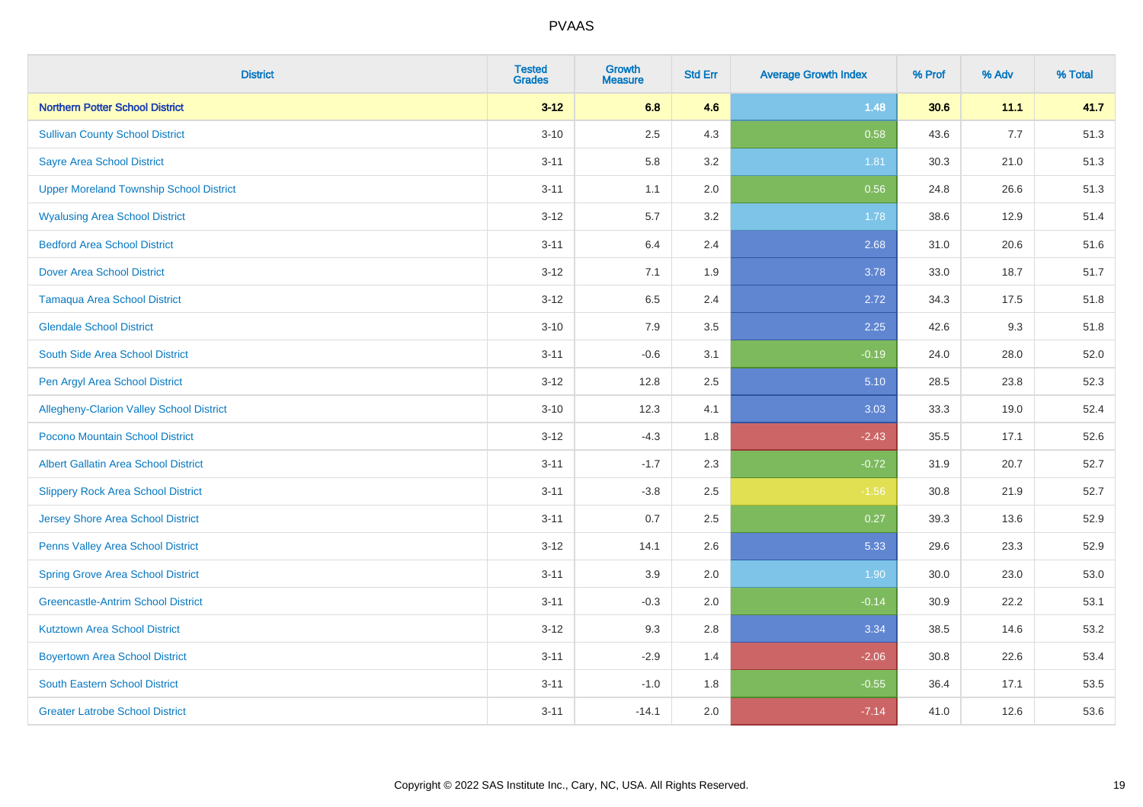| <b>District</b>                                 | <b>Tested</b><br><b>Grades</b> | <b>Growth</b><br><b>Measure</b> | <b>Std Err</b> | <b>Average Growth Index</b> | % Prof | % Adv | % Total |
|-------------------------------------------------|--------------------------------|---------------------------------|----------------|-----------------------------|--------|-------|---------|
| <b>Northern Potter School District</b>          | $3 - 12$                       | 6.8                             | 4.6            | 1.48                        | 30.6   | 11.1  | 41.7    |
| <b>Sullivan County School District</b>          | $3 - 10$                       | 2.5                             | 4.3            | 0.58                        | 43.6   | 7.7   | 51.3    |
| <b>Sayre Area School District</b>               | $3 - 11$                       | 5.8                             | 3.2            | 1.81                        | 30.3   | 21.0  | 51.3    |
| <b>Upper Moreland Township School District</b>  | $3 - 11$                       | 1.1                             | 2.0            | 0.56                        | 24.8   | 26.6  | 51.3    |
| <b>Wyalusing Area School District</b>           | $3 - 12$                       | 5.7                             | 3.2            | 1.78                        | 38.6   | 12.9  | 51.4    |
| <b>Bedford Area School District</b>             | $3 - 11$                       | 6.4                             | 2.4            | 2.68                        | 31.0   | 20.6  | 51.6    |
| <b>Dover Area School District</b>               | $3 - 12$                       | 7.1                             | 1.9            | 3.78                        | 33.0   | 18.7  | 51.7    |
| <b>Tamaqua Area School District</b>             | $3 - 12$                       | 6.5                             | 2.4            | 2.72                        | 34.3   | 17.5  | 51.8    |
| <b>Glendale School District</b>                 | $3 - 10$                       | 7.9                             | 3.5            | 2.25                        | 42.6   | 9.3   | 51.8    |
| South Side Area School District                 | $3 - 11$                       | $-0.6$                          | 3.1            | $-0.19$                     | 24.0   | 28.0  | 52.0    |
| Pen Argyl Area School District                  | $3-12$                         | 12.8                            | 2.5            | 5.10                        | 28.5   | 23.8  | 52.3    |
| <b>Allegheny-Clarion Valley School District</b> | $3 - 10$                       | 12.3                            | 4.1            | 3.03                        | 33.3   | 19.0  | 52.4    |
| Pocono Mountain School District                 | $3 - 12$                       | $-4.3$                          | 1.8            | $-2.43$                     | 35.5   | 17.1  | 52.6    |
| <b>Albert Gallatin Area School District</b>     | $3 - 11$                       | $-1.7$                          | 2.3            | $-0.72$                     | 31.9   | 20.7  | 52.7    |
| <b>Slippery Rock Area School District</b>       | $3 - 11$                       | $-3.8$                          | 2.5            | $-1.56$                     | 30.8   | 21.9  | 52.7    |
| <b>Jersey Shore Area School District</b>        | $3 - 11$                       | 0.7                             | 2.5            | 0.27                        | 39.3   | 13.6  | 52.9    |
| Penns Valley Area School District               | $3 - 12$                       | 14.1                            | 2.6            | 5.33                        | 29.6   | 23.3  | 52.9    |
| <b>Spring Grove Area School District</b>        | $3 - 11$                       | 3.9                             | 2.0            | 1.90                        | 30.0   | 23.0  | 53.0    |
| <b>Greencastle-Antrim School District</b>       | $3 - 11$                       | $-0.3$                          | 2.0            | $-0.14$                     | 30.9   | 22.2  | 53.1    |
| <b>Kutztown Area School District</b>            | $3 - 12$                       | 9.3                             | 2.8            | 3.34                        | 38.5   | 14.6  | 53.2    |
| <b>Boyertown Area School District</b>           | $3 - 11$                       | $-2.9$                          | 1.4            | $-2.06$                     | 30.8   | 22.6  | 53.4    |
| <b>South Eastern School District</b>            | $3 - 11$                       | $-1.0$                          | 1.8            | $-0.55$                     | 36.4   | 17.1  | 53.5    |
| <b>Greater Latrobe School District</b>          | $3 - 11$                       | $-14.1$                         | 2.0            | $-7.14$                     | 41.0   | 12.6  | 53.6    |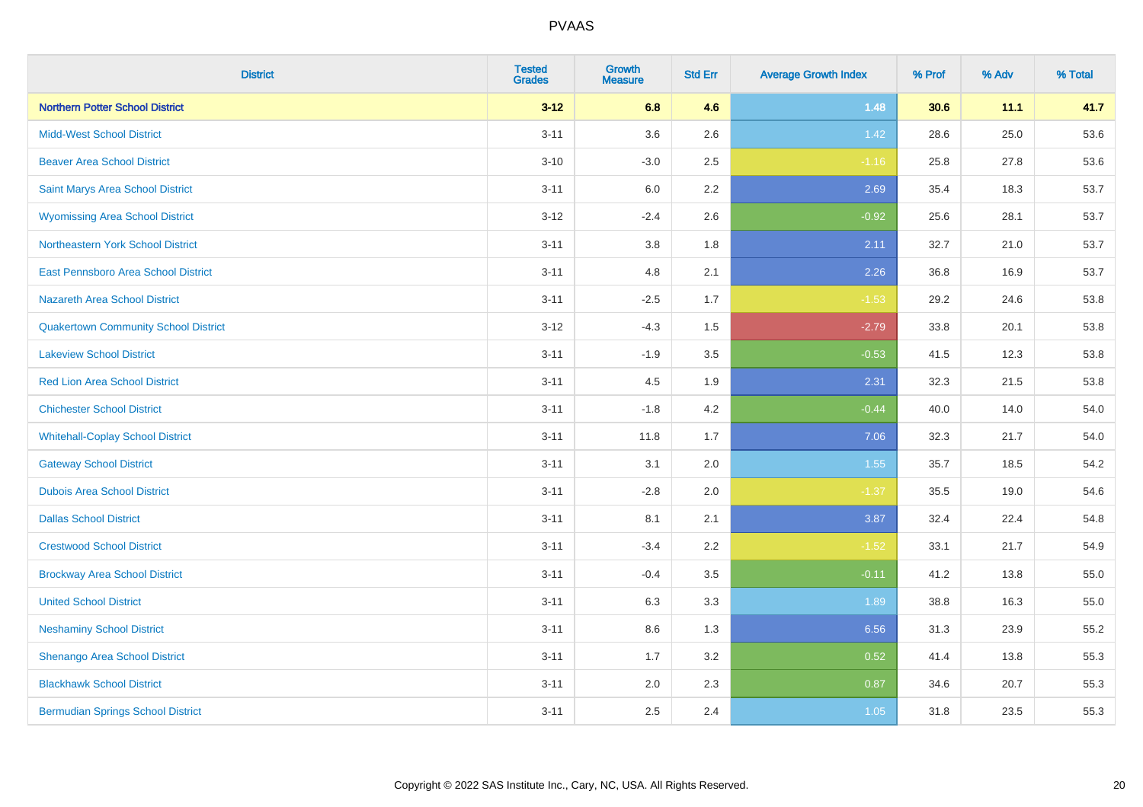| <b>District</b>                             | <b>Tested</b><br><b>Grades</b> | <b>Growth</b><br><b>Measure</b> | <b>Std Err</b> | <b>Average Growth Index</b> | % Prof | % Adv | % Total |
|---------------------------------------------|--------------------------------|---------------------------------|----------------|-----------------------------|--------|-------|---------|
| <b>Northern Potter School District</b>      | $3 - 12$                       | 6.8                             | 4.6            | 1.48                        | 30.6   | 11.1  | 41.7    |
| <b>Midd-West School District</b>            | $3 - 11$                       | 3.6                             | 2.6            | 1.42                        | 28.6   | 25.0  | 53.6    |
| <b>Beaver Area School District</b>          | $3 - 10$                       | $-3.0$                          | 2.5            | $-1.16$                     | 25.8   | 27.8  | 53.6    |
| Saint Marys Area School District            | $3 - 11$                       | 6.0                             | 2.2            | 2.69                        | 35.4   | 18.3  | 53.7    |
| <b>Wyomissing Area School District</b>      | $3 - 12$                       | $-2.4$                          | 2.6            | $-0.92$                     | 25.6   | 28.1  | 53.7    |
| Northeastern York School District           | $3 - 11$                       | 3.8                             | 1.8            | 2.11                        | 32.7   | 21.0  | 53.7    |
| East Pennsboro Area School District         | $3 - 11$                       | 4.8                             | 2.1            | 2.26                        | 36.8   | 16.9  | 53.7    |
| <b>Nazareth Area School District</b>        | $3 - 11$                       | $-2.5$                          | 1.7            | $-1.53$                     | 29.2   | 24.6  | 53.8    |
| <b>Quakertown Community School District</b> | $3 - 12$                       | $-4.3$                          | 1.5            | $-2.79$                     | 33.8   | 20.1  | 53.8    |
| <b>Lakeview School District</b>             | $3 - 11$                       | $-1.9$                          | 3.5            | $-0.53$                     | 41.5   | 12.3  | 53.8    |
| <b>Red Lion Area School District</b>        | $3 - 11$                       | 4.5                             | 1.9            | 2.31                        | 32.3   | 21.5  | 53.8    |
| <b>Chichester School District</b>           | $3 - 11$                       | $-1.8$                          | 4.2            | $-0.44$                     | 40.0   | 14.0  | 54.0    |
| <b>Whitehall-Coplay School District</b>     | $3 - 11$                       | 11.8                            | 1.7            | 7.06                        | 32.3   | 21.7  | 54.0    |
| <b>Gateway School District</b>              | $3 - 11$                       | 3.1                             | 2.0            | 1.55                        | 35.7   | 18.5  | 54.2    |
| <b>Dubois Area School District</b>          | $3 - 11$                       | $-2.8$                          | 2.0            | $-1.37$                     | 35.5   | 19.0  | 54.6    |
| <b>Dallas School District</b>               | $3 - 11$                       | 8.1                             | 2.1            | 3.87                        | 32.4   | 22.4  | 54.8    |
| <b>Crestwood School District</b>            | $3 - 11$                       | $-3.4$                          | 2.2            | $-1.52$                     | 33.1   | 21.7  | 54.9    |
| <b>Brockway Area School District</b>        | $3 - 11$                       | $-0.4$                          | 3.5            | $-0.11$                     | 41.2   | 13.8  | 55.0    |
| <b>United School District</b>               | $3 - 11$                       | 6.3                             | 3.3            | 1.89                        | 38.8   | 16.3  | 55.0    |
| <b>Neshaminy School District</b>            | $3 - 11$                       | 8.6                             | 1.3            | 6.56                        | 31.3   | 23.9  | 55.2    |
| Shenango Area School District               | $3 - 11$                       | 1.7                             | 3.2            | 0.52                        | 41.4   | 13.8  | 55.3    |
| <b>Blackhawk School District</b>            | $3 - 11$                       | 2.0                             | 2.3            | 0.87                        | 34.6   | 20.7  | 55.3    |
| <b>Bermudian Springs School District</b>    | $3 - 11$                       | 2.5                             | 2.4            | 1.05                        | 31.8   | 23.5  | 55.3    |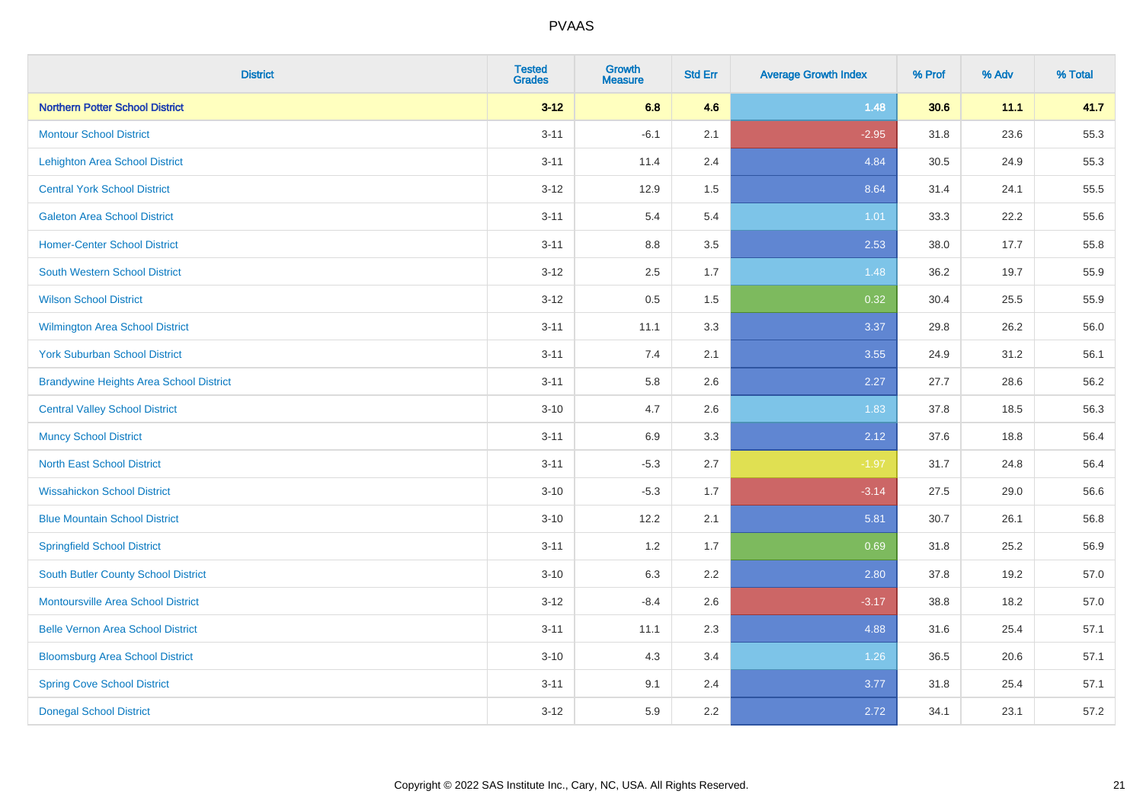| <b>District</b>                                | <b>Tested</b><br><b>Grades</b> | <b>Growth</b><br><b>Measure</b> | <b>Std Err</b> | <b>Average Growth Index</b> | % Prof | % Adv | % Total |
|------------------------------------------------|--------------------------------|---------------------------------|----------------|-----------------------------|--------|-------|---------|
| <b>Northern Potter School District</b>         | $3 - 12$                       | 6.8                             | 4.6            | 1.48                        | 30.6   | 11.1  | 41.7    |
| <b>Montour School District</b>                 | $3 - 11$                       | $-6.1$                          | 2.1            | $-2.95$                     | 31.8   | 23.6  | 55.3    |
| <b>Lehighton Area School District</b>          | $3 - 11$                       | 11.4                            | 2.4            | 4.84                        | 30.5   | 24.9  | 55.3    |
| <b>Central York School District</b>            | $3 - 12$                       | 12.9                            | 1.5            | 8.64                        | 31.4   | 24.1  | 55.5    |
| <b>Galeton Area School District</b>            | $3 - 11$                       | 5.4                             | 5.4            | 1.01                        | 33.3   | 22.2  | 55.6    |
| <b>Homer-Center School District</b>            | $3 - 11$                       | 8.8                             | 3.5            | 2.53                        | 38.0   | 17.7  | 55.8    |
| <b>South Western School District</b>           | $3 - 12$                       | 2.5                             | 1.7            | 1.48                        | 36.2   | 19.7  | 55.9    |
| <b>Wilson School District</b>                  | $3 - 12$                       | 0.5                             | 1.5            | 0.32                        | 30.4   | 25.5  | 55.9    |
| Wilmington Area School District                | $3 - 11$                       | 11.1                            | 3.3            | 3.37                        | 29.8   | 26.2  | 56.0    |
| <b>York Suburban School District</b>           | $3 - 11$                       | 7.4                             | 2.1            | 3.55                        | 24.9   | 31.2  | 56.1    |
| <b>Brandywine Heights Area School District</b> | $3 - 11$                       | 5.8                             | 2.6            | 2.27                        | 27.7   | 28.6  | 56.2    |
| <b>Central Valley School District</b>          | $3 - 10$                       | 4.7                             | 2.6            | 1.83                        | 37.8   | 18.5  | 56.3    |
| <b>Muncy School District</b>                   | $3 - 11$                       | 6.9                             | 3.3            | 2.12                        | 37.6   | 18.8  | 56.4    |
| <b>North East School District</b>              | $3 - 11$                       | $-5.3$                          | 2.7            | $-1.97$                     | 31.7   | 24.8  | 56.4    |
| <b>Wissahickon School District</b>             | $3 - 10$                       | $-5.3$                          | 1.7            | $-3.14$                     | 27.5   | 29.0  | 56.6    |
| <b>Blue Mountain School District</b>           | $3 - 10$                       | 12.2                            | 2.1            | 5.81                        | 30.7   | 26.1  | 56.8    |
| <b>Springfield School District</b>             | $3 - 11$                       | 1.2                             | 1.7            | 0.69                        | 31.8   | 25.2  | 56.9    |
| <b>South Butler County School District</b>     | $3 - 10$                       | 6.3                             | 2.2            | 2.80                        | 37.8   | 19.2  | 57.0    |
| Montoursville Area School District             | $3 - 12$                       | $-8.4$                          | 2.6            | $-3.17$                     | 38.8   | 18.2  | 57.0    |
| <b>Belle Vernon Area School District</b>       | $3 - 11$                       | 11.1                            | 2.3            | 4.88                        | 31.6   | 25.4  | 57.1    |
| <b>Bloomsburg Area School District</b>         | $3 - 10$                       | 4.3                             | 3.4            | 1.26                        | 36.5   | 20.6  | 57.1    |
| <b>Spring Cove School District</b>             | $3 - 11$                       | 9.1                             | 2.4            | 3.77                        | 31.8   | 25.4  | 57.1    |
| <b>Donegal School District</b>                 | $3 - 12$                       | 5.9                             | 2.2            | 2.72                        | 34.1   | 23.1  | 57.2    |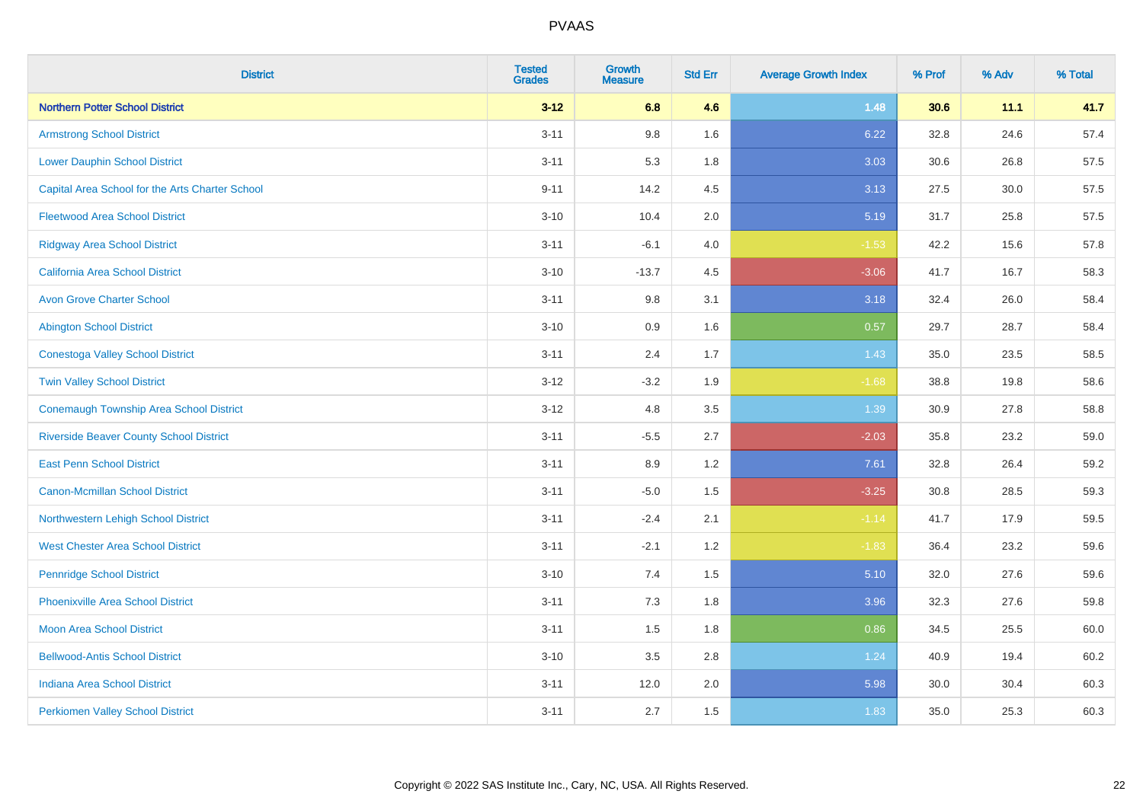| <b>District</b>                                 | <b>Tested</b><br><b>Grades</b> | <b>Growth</b><br><b>Measure</b> | <b>Std Err</b> | <b>Average Growth Index</b> | % Prof | % Adv | % Total |
|-------------------------------------------------|--------------------------------|---------------------------------|----------------|-----------------------------|--------|-------|---------|
| <b>Northern Potter School District</b>          | $3 - 12$                       | 6.8                             | 4.6            | 1.48                        | 30.6   | 11.1  | 41.7    |
| <b>Armstrong School District</b>                | $3 - 11$                       | 9.8                             | 1.6            | 6.22                        | 32.8   | 24.6  | 57.4    |
| <b>Lower Dauphin School District</b>            | $3 - 11$                       | 5.3                             | 1.8            | 3.03                        | 30.6   | 26.8  | 57.5    |
| Capital Area School for the Arts Charter School | $9 - 11$                       | 14.2                            | 4.5            | 3.13                        | 27.5   | 30.0  | 57.5    |
| <b>Fleetwood Area School District</b>           | $3 - 10$                       | 10.4                            | 2.0            | 5.19                        | 31.7   | 25.8  | 57.5    |
| <b>Ridgway Area School District</b>             | $3 - 11$                       | $-6.1$                          | 4.0            | $-1.53$                     | 42.2   | 15.6  | 57.8    |
| <b>California Area School District</b>          | $3 - 10$                       | $-13.7$                         | 4.5            | $-3.06$                     | 41.7   | 16.7  | 58.3    |
| <b>Avon Grove Charter School</b>                | $3 - 11$                       | 9.8                             | 3.1            | 3.18                        | 32.4   | 26.0  | 58.4    |
| <b>Abington School District</b>                 | $3 - 10$                       | 0.9                             | 1.6            | 0.57                        | 29.7   | 28.7  | 58.4    |
| <b>Conestoga Valley School District</b>         | $3 - 11$                       | 2.4                             | 1.7            | 1.43                        | 35.0   | 23.5  | 58.5    |
| <b>Twin Valley School District</b>              | $3 - 12$                       | $-3.2$                          | 1.9            | $-1.68$                     | 38.8   | 19.8  | 58.6    |
| <b>Conemaugh Township Area School District</b>  | $3 - 12$                       | 4.8                             | 3.5            | 1.39                        | 30.9   | 27.8  | 58.8    |
| <b>Riverside Beaver County School District</b>  | $3 - 11$                       | $-5.5$                          | 2.7            | $-2.03$                     | 35.8   | 23.2  | 59.0    |
| <b>East Penn School District</b>                | $3 - 11$                       | 8.9                             | 1.2            | 7.61                        | 32.8   | 26.4  | 59.2    |
| <b>Canon-Mcmillan School District</b>           | $3 - 11$                       | $-5.0$                          | 1.5            | $-3.25$                     | 30.8   | 28.5  | 59.3    |
| Northwestern Lehigh School District             | $3 - 11$                       | $-2.4$                          | 2.1            | $-1.14$                     | 41.7   | 17.9  | 59.5    |
| <b>West Chester Area School District</b>        | $3 - 11$                       | $-2.1$                          | 1.2            | $-1.83$                     | 36.4   | 23.2  | 59.6    |
| <b>Pennridge School District</b>                | $3 - 10$                       | 7.4                             | 1.5            | 5.10                        | 32.0   | 27.6  | 59.6    |
| <b>Phoenixville Area School District</b>        | $3 - 11$                       | 7.3                             | 1.8            | 3.96                        | 32.3   | 27.6  | 59.8    |
| <b>Moon Area School District</b>                | $3 - 11$                       | 1.5                             | 1.8            | 0.86                        | 34.5   | 25.5  | 60.0    |
| <b>Bellwood-Antis School District</b>           | $3 - 10$                       | 3.5                             | 2.8            | 1.24                        | 40.9   | 19.4  | 60.2    |
| <b>Indiana Area School District</b>             | $3 - 11$                       | 12.0                            | 2.0            | 5.98                        | 30.0   | 30.4  | 60.3    |
| <b>Perkiomen Valley School District</b>         | $3 - 11$                       | 2.7                             | 1.5            | 1.83                        | 35.0   | 25.3  | 60.3    |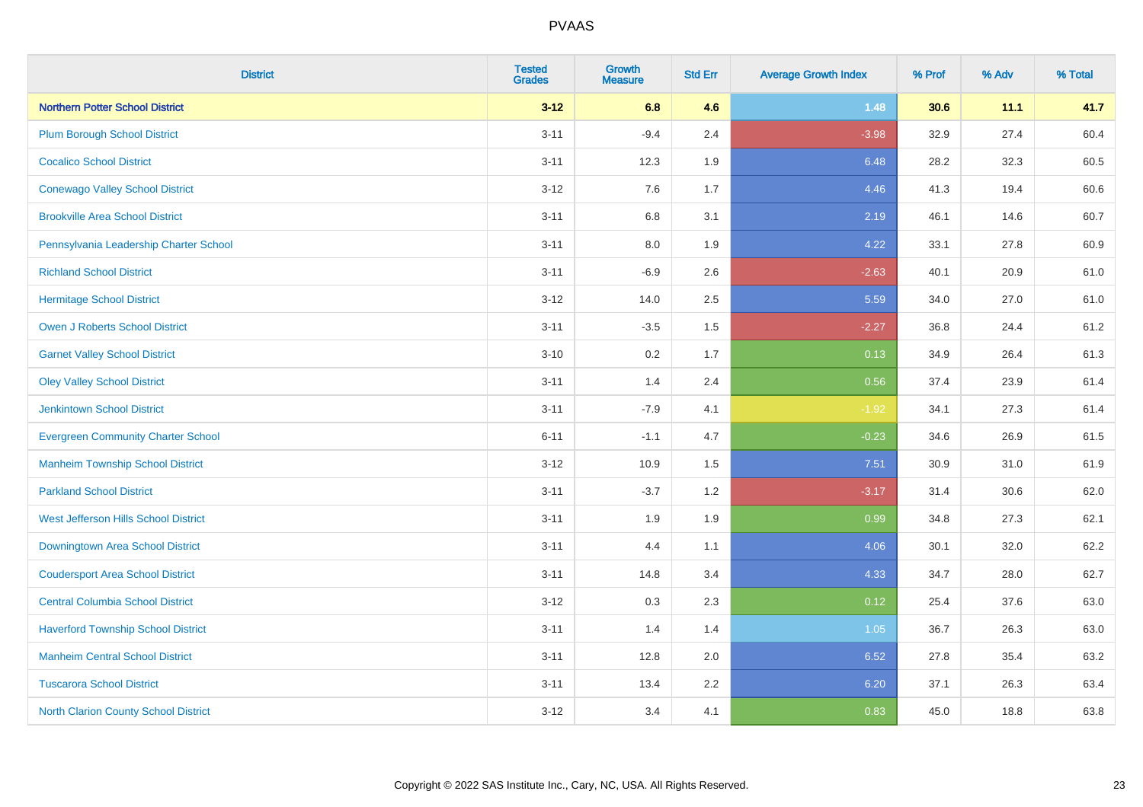| <b>District</b>                             | <b>Tested</b><br><b>Grades</b> | <b>Growth</b><br><b>Measure</b> | <b>Std Err</b> | <b>Average Growth Index</b> | % Prof | % Adv | % Total |
|---------------------------------------------|--------------------------------|---------------------------------|----------------|-----------------------------|--------|-------|---------|
| <b>Northern Potter School District</b>      | $3 - 12$                       | 6.8                             | 4.6            | 1.48                        | 30.6   | 11.1  | 41.7    |
| <b>Plum Borough School District</b>         | $3 - 11$                       | $-9.4$                          | 2.4            | $-3.98$                     | 32.9   | 27.4  | 60.4    |
| <b>Cocalico School District</b>             | $3 - 11$                       | 12.3                            | 1.9            | 6.48                        | 28.2   | 32.3  | 60.5    |
| <b>Conewago Valley School District</b>      | $3-12$                         | 7.6                             | 1.7            | 4.46                        | 41.3   | 19.4  | 60.6    |
| <b>Brookville Area School District</b>      | $3 - 11$                       | 6.8                             | 3.1            | 2.19                        | 46.1   | 14.6  | 60.7    |
| Pennsylvania Leadership Charter School      | $3 - 11$                       | 8.0                             | 1.9            | 4.22                        | 33.1   | 27.8  | 60.9    |
| <b>Richland School District</b>             | $3 - 11$                       | $-6.9$                          | 2.6            | $-2.63$                     | 40.1   | 20.9  | 61.0    |
| <b>Hermitage School District</b>            | $3-12$                         | 14.0                            | 2.5            | 5.59                        | 34.0   | 27.0  | 61.0    |
| <b>Owen J Roberts School District</b>       | $3 - 11$                       | $-3.5$                          | 1.5            | $-2.27$                     | 36.8   | 24.4  | 61.2    |
| <b>Garnet Valley School District</b>        | $3 - 10$                       | 0.2                             | 1.7            | 0.13                        | 34.9   | 26.4  | 61.3    |
| <b>Oley Valley School District</b>          | $3 - 11$                       | 1.4                             | 2.4            | 0.56                        | 37.4   | 23.9  | 61.4    |
| <b>Jenkintown School District</b>           | $3 - 11$                       | $-7.9$                          | 4.1            | $-1.92$                     | 34.1   | 27.3  | 61.4    |
| <b>Evergreen Community Charter School</b>   | $6 - 11$                       | $-1.1$                          | 4.7            | $-0.23$                     | 34.6   | 26.9  | 61.5    |
| <b>Manheim Township School District</b>     | $3 - 12$                       | 10.9                            | 1.5            | 7.51                        | 30.9   | 31.0  | 61.9    |
| <b>Parkland School District</b>             | $3 - 11$                       | $-3.7$                          | 1.2            | $-3.17$                     | 31.4   | 30.6  | 62.0    |
| West Jefferson Hills School District        | $3 - 11$                       | 1.9                             | 1.9            | 0.99                        | 34.8   | 27.3  | 62.1    |
| <b>Downingtown Area School District</b>     | $3 - 11$                       | 4.4                             | 1.1            | 4.06                        | 30.1   | 32.0  | 62.2    |
| <b>Coudersport Area School District</b>     | $3 - 11$                       | 14.8                            | 3.4            | 4.33                        | 34.7   | 28.0  | 62.7    |
| <b>Central Columbia School District</b>     | $3-12$                         | 0.3                             | 2.3            | 0.12                        | 25.4   | 37.6  | 63.0    |
| <b>Haverford Township School District</b>   | $3 - 11$                       | 1.4                             | 1.4            | 1.05                        | 36.7   | 26.3  | 63.0    |
| <b>Manheim Central School District</b>      | $3 - 11$                       | 12.8                            | 2.0            | 6.52                        | 27.8   | 35.4  | 63.2    |
| <b>Tuscarora School District</b>            | $3 - 11$                       | 13.4                            | 2.2            | 6.20                        | 37.1   | 26.3  | 63.4    |
| <b>North Clarion County School District</b> | $3 - 12$                       | 3.4                             | 4.1            | 0.83                        | 45.0   | 18.8  | 63.8    |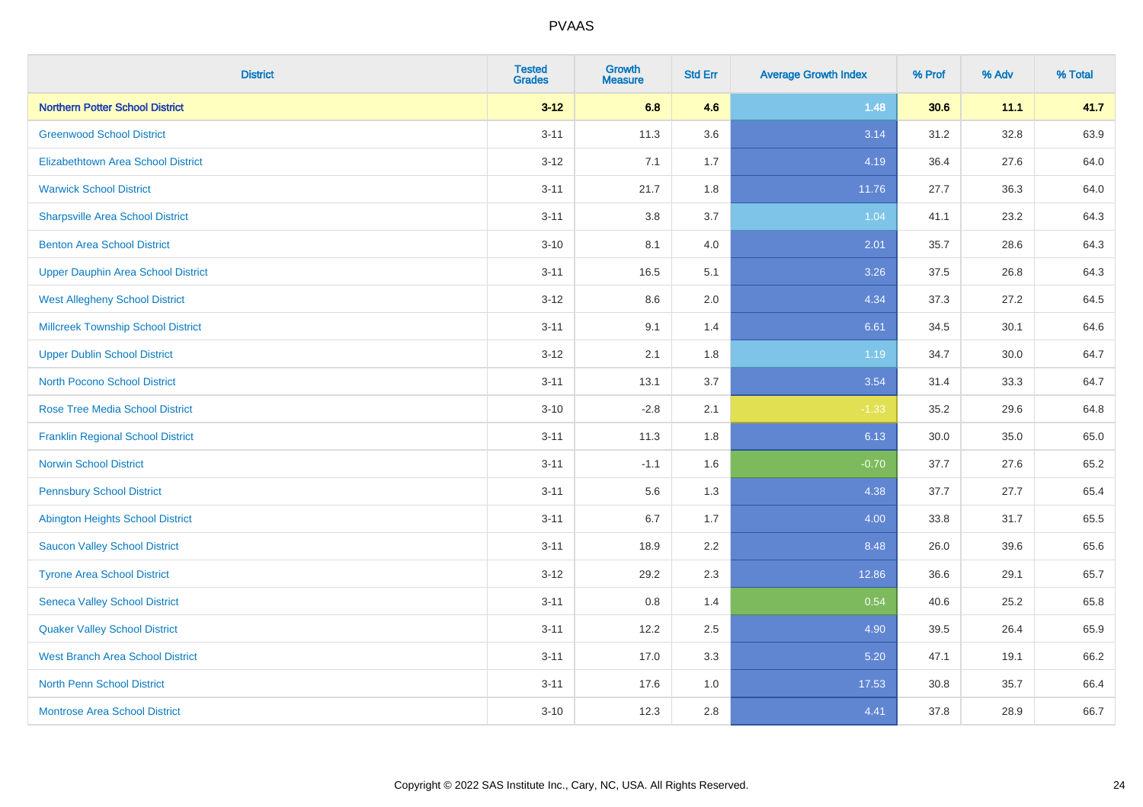| <b>District</b>                           | <b>Tested</b><br><b>Grades</b> | <b>Growth</b><br><b>Measure</b> | <b>Std Err</b> | <b>Average Growth Index</b> | % Prof | % Adv | % Total |
|-------------------------------------------|--------------------------------|---------------------------------|----------------|-----------------------------|--------|-------|---------|
| <b>Northern Potter School District</b>    | $3 - 12$                       | 6.8                             | 4.6            | 1.48                        | 30.6   | 11.1  | 41.7    |
| <b>Greenwood School District</b>          | $3 - 11$                       | 11.3                            | 3.6            | 3.14                        | 31.2   | 32.8  | 63.9    |
| <b>Elizabethtown Area School District</b> | $3 - 12$                       | 7.1                             | 1.7            | 4.19                        | 36.4   | 27.6  | 64.0    |
| <b>Warwick School District</b>            | $3 - 11$                       | 21.7                            | 1.8            | 11.76                       | 27.7   | 36.3  | 64.0    |
| <b>Sharpsville Area School District</b>   | $3 - 11$                       | 3.8                             | 3.7            | 1.04                        | 41.1   | 23.2  | 64.3    |
| <b>Benton Area School District</b>        | $3 - 10$                       | 8.1                             | 4.0            | 2.01                        | 35.7   | 28.6  | 64.3    |
| <b>Upper Dauphin Area School District</b> | $3 - 11$                       | 16.5                            | 5.1            | 3.26                        | 37.5   | 26.8  | 64.3    |
| <b>West Allegheny School District</b>     | $3-12$                         | 8.6                             | 2.0            | 4.34                        | 37.3   | 27.2  | 64.5    |
| <b>Millcreek Township School District</b> | $3 - 11$                       | 9.1                             | 1.4            | 6.61                        | 34.5   | 30.1  | 64.6    |
| <b>Upper Dublin School District</b>       | $3 - 12$                       | 2.1                             | 1.8            | 1.19                        | 34.7   | 30.0  | 64.7    |
| <b>North Pocono School District</b>       | $3 - 11$                       | 13.1                            | 3.7            | 3.54                        | 31.4   | 33.3  | 64.7    |
| <b>Rose Tree Media School District</b>    | $3 - 10$                       | $-2.8$                          | 2.1            | $-1.33$                     | 35.2   | 29.6  | 64.8    |
| <b>Franklin Regional School District</b>  | $3 - 11$                       | 11.3                            | 1.8            | 6.13                        | 30.0   | 35.0  | 65.0    |
| <b>Norwin School District</b>             | $3 - 11$                       | $-1.1$                          | 1.6            | $-0.70$                     | 37.7   | 27.6  | 65.2    |
| <b>Pennsbury School District</b>          | $3 - 11$                       | 5.6                             | 1.3            | 4.38                        | 37.7   | 27.7  | 65.4    |
| <b>Abington Heights School District</b>   | $3 - 11$                       | 6.7                             | 1.7            | 4.00                        | 33.8   | 31.7  | 65.5    |
| <b>Saucon Valley School District</b>      | $3 - 11$                       | 18.9                            | 2.2            | 8.48                        | 26.0   | 39.6  | 65.6    |
| <b>Tyrone Area School District</b>        | $3-12$                         | 29.2                            | 2.3            | 12.86                       | 36.6   | 29.1  | 65.7    |
| <b>Seneca Valley School District</b>      | $3 - 11$                       | 0.8                             | 1.4            | 0.54                        | 40.6   | 25.2  | 65.8    |
| <b>Quaker Valley School District</b>      | $3 - 11$                       | 12.2                            | 2.5            | 4.90                        | 39.5   | 26.4  | 65.9    |
| <b>West Branch Area School District</b>   | $3 - 11$                       | 17.0                            | 3.3            | 5.20                        | 47.1   | 19.1  | 66.2    |
| <b>North Penn School District</b>         | $3 - 11$                       | 17.6                            | 1.0            | 17.53                       | 30.8   | 35.7  | 66.4    |
| <b>Montrose Area School District</b>      | $3 - 10$                       | 12.3                            | 2.8            | 4.41                        | 37.8   | 28.9  | 66.7    |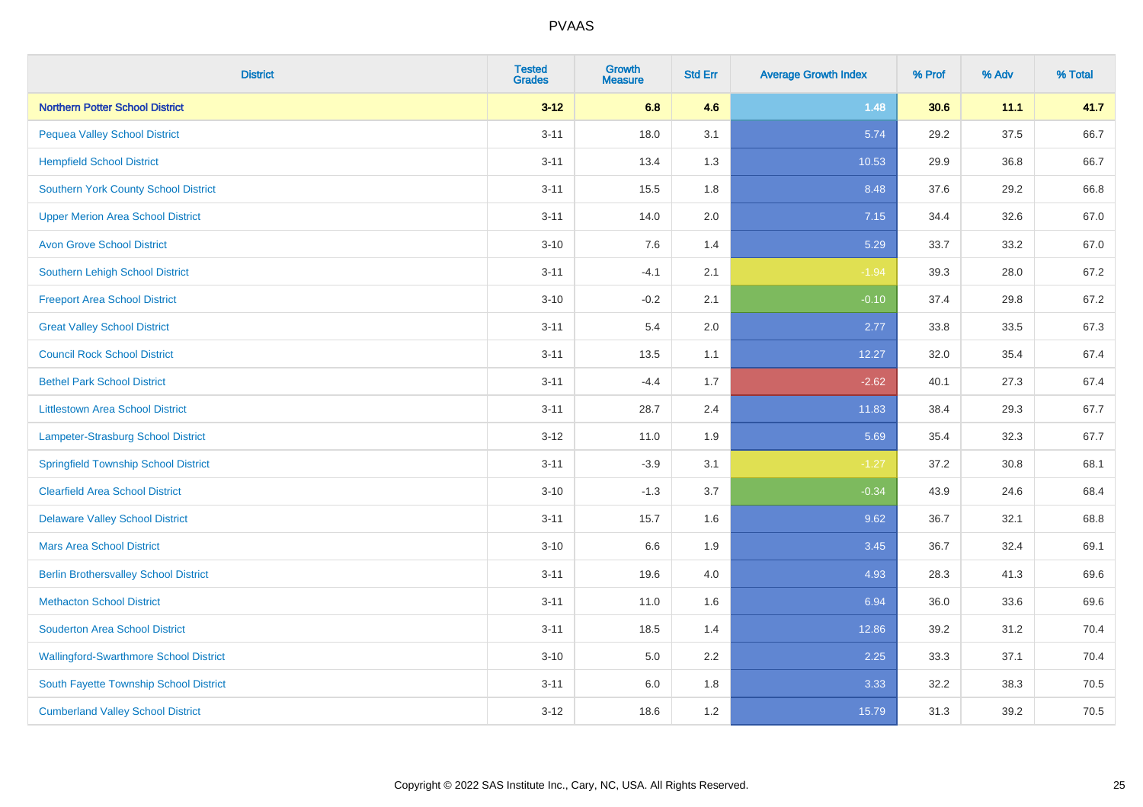| <b>District</b>                               | <b>Tested</b><br><b>Grades</b> | <b>Growth</b><br><b>Measure</b> | <b>Std Err</b> | <b>Average Growth Index</b> | % Prof | % Adv | % Total |
|-----------------------------------------------|--------------------------------|---------------------------------|----------------|-----------------------------|--------|-------|---------|
| <b>Northern Potter School District</b>        | $3 - 12$                       | 6.8                             | 4.6            | 1.48                        | 30.6   | 11.1  | 41.7    |
| <b>Pequea Valley School District</b>          | $3 - 11$                       | 18.0                            | 3.1            | 5.74                        | 29.2   | 37.5  | 66.7    |
| <b>Hempfield School District</b>              | $3 - 11$                       | 13.4                            | 1.3            | 10.53                       | 29.9   | 36.8  | 66.7    |
| Southern York County School District          | $3 - 11$                       | 15.5                            | 1.8            | 8.48                        | 37.6   | 29.2  | 66.8    |
| <b>Upper Merion Area School District</b>      | $3 - 11$                       | 14.0                            | 2.0            | 7.15                        | 34.4   | 32.6  | 67.0    |
| <b>Avon Grove School District</b>             | $3 - 10$                       | 7.6                             | 1.4            | 5.29                        | 33.7   | 33.2  | 67.0    |
| Southern Lehigh School District               | $3 - 11$                       | $-4.1$                          | 2.1            | $-1.94$                     | 39.3   | 28.0  | 67.2    |
| <b>Freeport Area School District</b>          | $3 - 10$                       | $-0.2$                          | 2.1            | $-0.10$                     | 37.4   | 29.8  | 67.2    |
| <b>Great Valley School District</b>           | $3 - 11$                       | 5.4                             | 2.0            | 2.77                        | 33.8   | 33.5  | 67.3    |
| <b>Council Rock School District</b>           | $3 - 11$                       | 13.5                            | 1.1            | 12.27                       | 32.0   | 35.4  | 67.4    |
| <b>Bethel Park School District</b>            | $3 - 11$                       | $-4.4$                          | 1.7            | $-2.62$                     | 40.1   | 27.3  | 67.4    |
| <b>Littlestown Area School District</b>       | $3 - 11$                       | 28.7                            | 2.4            | 11.83                       | 38.4   | 29.3  | 67.7    |
| Lampeter-Strasburg School District            | $3 - 12$                       | 11.0                            | 1.9            | 5.69                        | 35.4   | 32.3  | 67.7    |
| <b>Springfield Township School District</b>   | $3 - 11$                       | $-3.9$                          | 3.1            | $-1.27$                     | 37.2   | 30.8  | 68.1    |
| <b>Clearfield Area School District</b>        | $3 - 10$                       | $-1.3$                          | 3.7            | $-0.34$                     | 43.9   | 24.6  | 68.4    |
| <b>Delaware Valley School District</b>        | $3 - 11$                       | 15.7                            | 1.6            | 9.62                        | 36.7   | 32.1  | 68.8    |
| <b>Mars Area School District</b>              | $3 - 10$                       | 6.6                             | 1.9            | 3.45                        | 36.7   | 32.4  | 69.1    |
| <b>Berlin Brothersvalley School District</b>  | $3 - 11$                       | 19.6                            | 4.0            | 4.93                        | 28.3   | 41.3  | 69.6    |
| <b>Methacton School District</b>              | $3 - 11$                       | 11.0                            | 1.6            | 6.94                        | 36.0   | 33.6  | 69.6    |
| <b>Souderton Area School District</b>         | $3 - 11$                       | 18.5                            | 1.4            | 12.86                       | 39.2   | 31.2  | 70.4    |
| <b>Wallingford-Swarthmore School District</b> | $3 - 10$                       | 5.0                             | 2.2            | 2.25                        | 33.3   | 37.1  | 70.4    |
| South Fayette Township School District        | $3 - 11$                       | 6.0                             | 1.8            | 3.33                        | 32.2   | 38.3  | 70.5    |
| <b>Cumberland Valley School District</b>      | $3 - 12$                       | 18.6                            | 1.2            | 15.79                       | 31.3   | 39.2  | 70.5    |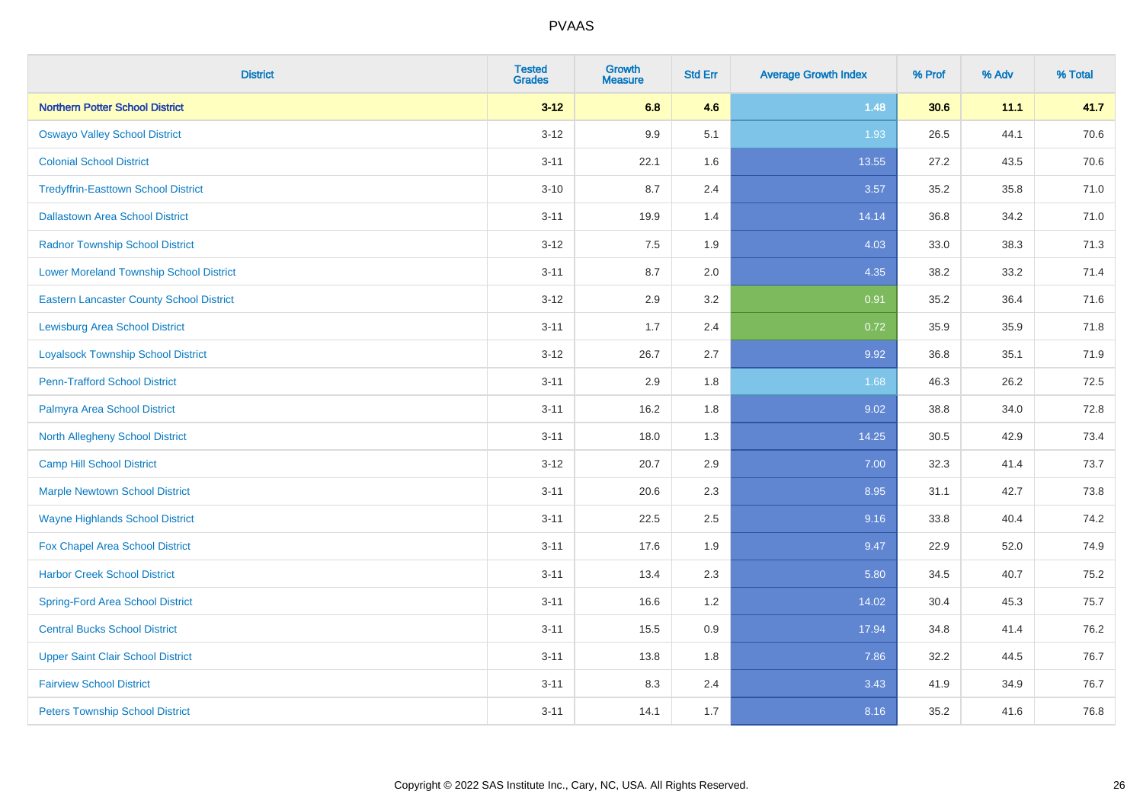| <b>District</b>                                 | <b>Tested</b><br><b>Grades</b> | <b>Growth</b><br><b>Measure</b> | <b>Std Err</b> | <b>Average Growth Index</b> | % Prof | % Adv | % Total |
|-------------------------------------------------|--------------------------------|---------------------------------|----------------|-----------------------------|--------|-------|---------|
| <b>Northern Potter School District</b>          | $3 - 12$                       | 6.8                             | 4.6            | 1.48                        | 30.6   | 11.1  | 41.7    |
| <b>Oswayo Valley School District</b>            | $3 - 12$                       | 9.9                             | 5.1            | 1.93                        | 26.5   | 44.1  | 70.6    |
| <b>Colonial School District</b>                 | $3 - 11$                       | 22.1                            | 1.6            | 13.55                       | 27.2   | 43.5  | 70.6    |
| <b>Tredyffrin-Easttown School District</b>      | $3 - 10$                       | 8.7                             | 2.4            | 3.57                        | 35.2   | 35.8  | 71.0    |
| <b>Dallastown Area School District</b>          | $3 - 11$                       | 19.9                            | 1.4            | 14.14                       | 36.8   | 34.2  | 71.0    |
| <b>Radnor Township School District</b>          | $3 - 12$                       | 7.5                             | 1.9            | 4.03                        | 33.0   | 38.3  | 71.3    |
| <b>Lower Moreland Township School District</b>  | $3 - 11$                       | 8.7                             | 2.0            | 4.35                        | 38.2   | 33.2  | 71.4    |
| <b>Eastern Lancaster County School District</b> | $3 - 12$                       | 2.9                             | 3.2            | 0.91                        | 35.2   | 36.4  | 71.6    |
| <b>Lewisburg Area School District</b>           | $3 - 11$                       | 1.7                             | 2.4            | 0.72                        | 35.9   | 35.9  | 71.8    |
| <b>Loyalsock Township School District</b>       | $3-12$                         | 26.7                            | 2.7            | 9.92                        | 36.8   | 35.1  | 71.9    |
| <b>Penn-Trafford School District</b>            | $3 - 11$                       | 2.9                             | 1.8            | 1.68                        | 46.3   | 26.2  | 72.5    |
| Palmyra Area School District                    | $3 - 11$                       | 16.2                            | 1.8            | 9.02                        | 38.8   | 34.0  | 72.8    |
| North Allegheny School District                 | $3 - 11$                       | 18.0                            | 1.3            | 14.25                       | 30.5   | 42.9  | 73.4    |
| <b>Camp Hill School District</b>                | $3 - 12$                       | 20.7                            | 2.9            | 7.00                        | 32.3   | 41.4  | 73.7    |
| <b>Marple Newtown School District</b>           | $3 - 11$                       | 20.6                            | 2.3            | 8.95                        | 31.1   | 42.7  | 73.8    |
| <b>Wayne Highlands School District</b>          | $3 - 11$                       | 22.5                            | 2.5            | 9.16                        | 33.8   | 40.4  | 74.2    |
| Fox Chapel Area School District                 | $3 - 11$                       | 17.6                            | 1.9            | 9.47                        | 22.9   | 52.0  | 74.9    |
| <b>Harbor Creek School District</b>             | $3 - 11$                       | 13.4                            | 2.3            | 5.80                        | 34.5   | 40.7  | 75.2    |
| <b>Spring-Ford Area School District</b>         | $3 - 11$                       | 16.6                            | 1.2            | 14.02                       | 30.4   | 45.3  | 75.7    |
| <b>Central Bucks School District</b>            | $3 - 11$                       | 15.5                            | 0.9            | 17.94                       | 34.8   | 41.4  | 76.2    |
| <b>Upper Saint Clair School District</b>        | $3 - 11$                       | 13.8                            | 1.8            | 7.86                        | 32.2   | 44.5  | 76.7    |
| <b>Fairview School District</b>                 | $3 - 11$                       | 8.3                             | 2.4            | 3.43                        | 41.9   | 34.9  | 76.7    |
| <b>Peters Township School District</b>          | $3 - 11$                       | 14.1                            | 1.7            | 8.16                        | 35.2   | 41.6  | 76.8    |